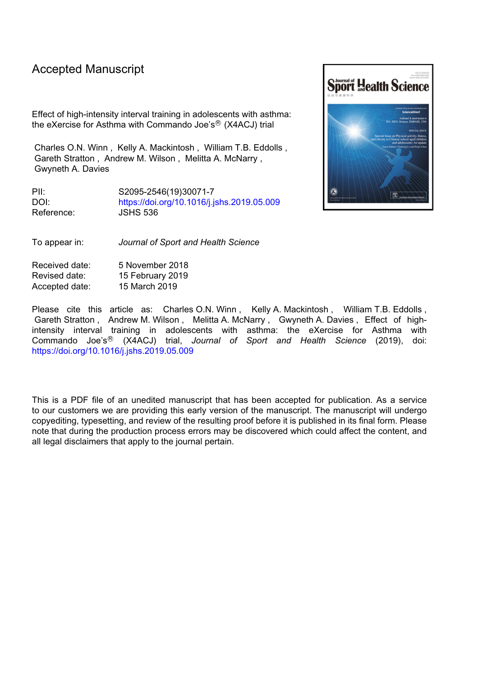# Accepted Manuscript

Effect of high-intensity interval training in adolescents with asthma: the eXercise for Asthma with Commando Joe's<sup>®</sup> (X4ACJ) trial

Charles O.N. Winn , Kelly A. Mackintosh , William T.B. Eddolls , Gareth Stratton , Andrew M. Wilson , Melitta A. McNarry , Gwyneth A. Davies

PII: S2095-2546(19)30071-7 DOI: <https://doi.org/10.1016/j.jshs.2019.05.009> Reference: JSHS 536

To appear in: *Journal of Sport and Health Science*

Received date: 5 November 2018 Revised date: 15 February 2019 Accepted date: 15 March 2019

Please cite this article as: Charles O.N. Winn, Kelly A. Mackintosh, William T.B. Eddolls, Gareth Stratton , Andrew M. Wilson , Melitta A. McNarry , Gwyneth A. Davies , Effect of highintensity interval training in adolescents with asthma: the eXercise for Asthma with Commando Joe's <sup>R</sup> (X4ACJ) trial, *Journal of Sport and Health Science* (2019), doi: <https://doi.org/10.1016/j.jshs.2019.05.009>

This is a PDF file of an unedited manuscript that has been accepted for publication. As a service to our customers we are providing this early version of the manuscript. The manuscript will undergo copyediting, typesetting, and review of the resulting proof before it is published in its final form. Please note that during the production process errors may be discovered which could affect the content, and all legal disclaimers that apply to the journal pertain.

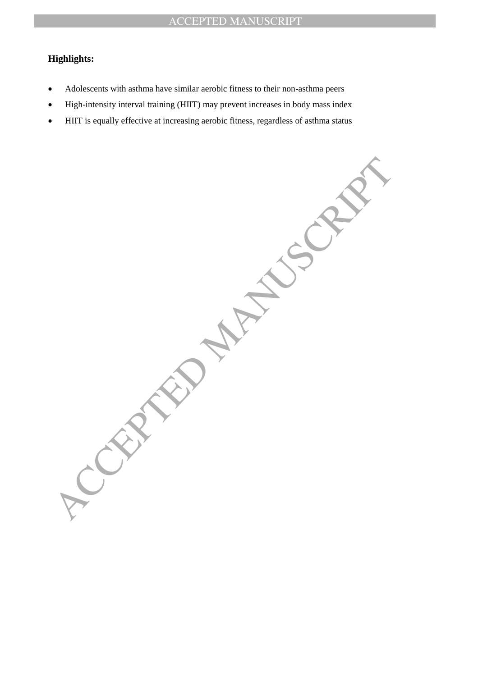## **Highlights:**

- Adolescents with asthma have similar aerobic fitness to their non-asthma peers
- High-intensity interval training (HIIT) may prevent increases in body mass index
- HIIT is equally effective at increasing aerobic fitness, regardless of asthma status

A PROPERTY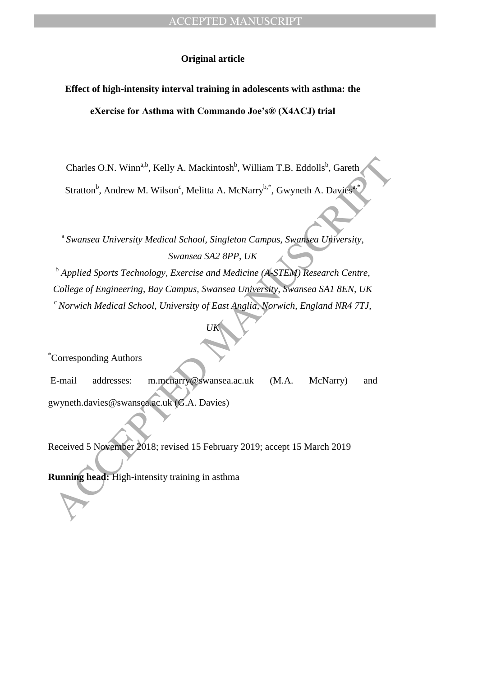## **Original article**

# **Effect of high-intensity interval training in adolescents with asthma: the**

**eXercise for Asthma with Commando Joe's® (X4ACJ) trial**

Charles O.N. Winn<sup>a,b</sup>, Kelly A. Mackintosh<sup>b</sup>, William T.B. Eddolls<sup>b</sup>, Gareth Stratton<sup>b</sup>, Andrew M. Wilson<sup>c</sup>, Melitta A. McNarry<sup>b,\*</sup>, Gwyneth A. Davies<sup>a,\*</sup>

<sup>a</sup> Swansea University Medical School, Singleton Campus, Swansea University, *Swansea SA2 8PP, UK*

Charles O.N. Winn<sup>a,b</sup>, Kelly A. Mackintosh<sup>b</sup>, William T.B. Eddolls<sup>b</sup>, Gareth<br>
Stratton<sup>b</sup>, Andrew M. Wilson<sup>e</sup>, Melitta A. McNarry<sup>b,\*</sup>, Gwyneth A. Davies<br>
<sup>8</sup> Swansea University Medical School, Singleton Campus. Swanse <sup>b</sup> Applied Sports Technology, Exercise and Medicine (A-STEM) Research Centre, *College of Engineering, Bay Campus, Swansea University, Swansea SA1 8EN, UK* <sup>c</sup>*Norwich Medical School, University of East Anglia, Norwich, England NR4 7TJ,*

*UK*

\*Corresponding Authors

E-mail addresses: m.mcnarry@swansea.ac.uk (M.A. McNarry) and gwyneth.davies@swansea.ac.uk (G.A. Davies)

Received 5 November 2018; revised 15 February 2019; accept 15 March 2019

**Running head:** High-intensity training in asthma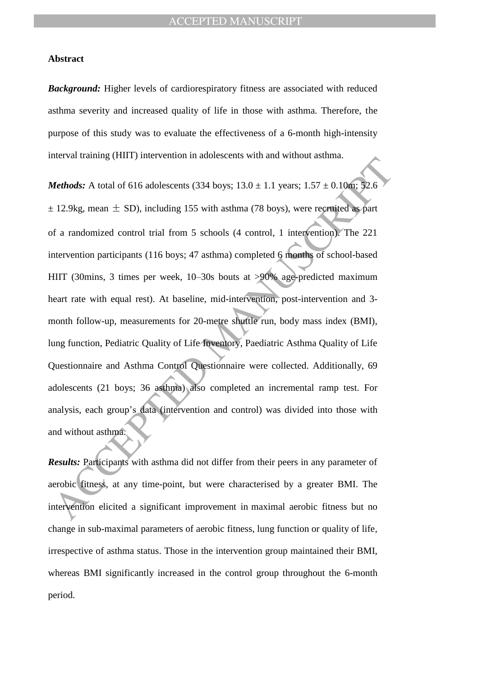## **Abstract**

*Background:* Higher levels of cardiorespiratory fitness are associated with reduced asthma severity and increased quality of life in those with asthma. Therefore, the purpose of this study was to evaluate the effectiveness of a 6-month high-intensity interval training (HIIT) intervention in adolescents with and without asthma.

Methods: A total of 616 adolescents (334 boys; 13.0 ± 1.1 years; 1.57 ± 0.10m; 32.6<br>
12.9kg, mean ± SD), including 155 with asthma (78 boys), were recentied as part<br>
of a randomized control trial from 5 schools (4 control, *Methods:* A total of 616 adolescents (334 boys;  $13.0 \pm 1.1$  years;  $1.57 \pm 0.10$ m; 52.6  $\pm$  12.9kg, mean  $\pm$  SD), including 155 with asthma (78 boys), were recruited as part of a randomized control trial from 5 schools (4 control, 1 intervention). The 221 intervention participants (116 boys; 47 asthma) completed 6 months of school-based HIIT (30mins, 3 times per week, 10–30s bouts at >90% age-predicted maximum heart rate with equal rest). At baseline, mid-intervention, post-intervention and 3 month follow-up, measurements for 20-metre shuttle run, body mass index (BMI), lung function, Pediatric Quality of Life Inventory, Paediatric Asthma Quality of Life Questionnaire and Asthma Control Questionnaire were collected. Additionally, 69 adolescents (21 boys; 36 asthma) also completed an incremental ramp test. For analysis, each group's data (intervention and control) was divided into those with and without asthma.

*Results:* Participants with asthma did not differ from their peers in any parameter of aerobic fitness, at any time-point, but were characterised by a greater BMI. The intervention elicited a significant improvement in maximal aerobic fitness but no change in sub-maximal parameters of aerobic fitness, lung function or quality of life, irrespective of asthma status. Those in the intervention group maintained their BMI, whereas BMI significantly increased in the control group throughout the 6-month period.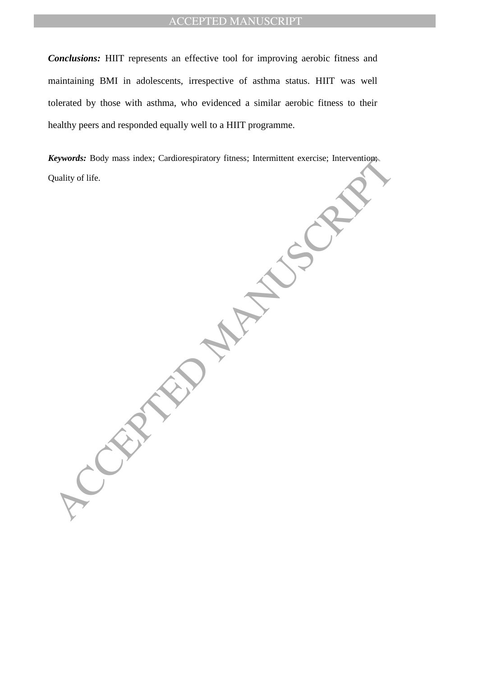*Conclusions:* HIIT represents an effective tool for improving aerobic fitness and maintaining BMI in adolescents, irrespective of asthma status. HIIT was well tolerated by those with asthma, who evidenced a similar aerobic fitness to their healthy peers and responded equally well to a HIIT programme.

*Keywords:* Body mass index; Cardiorespiratory fitness; Intermittent exercise; Intervention; Quality of life.

CEPTED MANUSCRIPT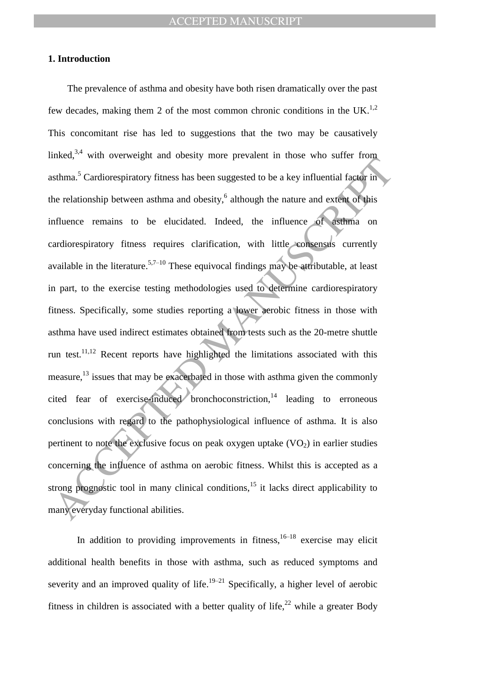## **1. Introduction**

The state of the state of the parameteristic state of the state of the state of the state of the state of the state of the actomorphism of the relationship between asthma and obesity,<sup>6</sup> although the nature and extent of The prevalence of asthma and obesity have both risen dramatically over the past few decades, making them 2 of the most common chronic conditions in the UK.<sup>1,2</sup> This concomitant rise has led to suggestions that the two may be causatively linked,  $3,4$  with overweight and obesity more prevalent in those who suffer from asthma. <sup>5</sup> Cardiorespiratory fitness has been suggested to be a key influential factor in the relationship between asthma and obesity, 6 although the nature and extent of this influence remains to be elucidated. Indeed, the influence of asthma on cardiorespiratory fitness requires clarification, with little consensus currently available in the literature.<sup>5,7–10</sup> These equivocal findings may be attributable, at least in part, to the exercise testing methodologies used to determine cardiorespiratory fitness. Specifically, some studies reporting a lower aerobic fitness in those with asthma have used indirect estimates obtained from tests such as the 20-metre shuttle run test.<sup>11,12</sup> Recent reports have highlighted the limitations associated with this measure,<sup>13</sup> issues that may be exacerbated in those with asthma given the commonly cited fear of exercise-induced bronchoconstriction, $14$  leading to erroneous conclusions with regard to the pathophysiological influence of asthma. It is also pertinent to note the exclusive focus on peak oxygen uptake  $(VO<sub>2</sub>)$  in earlier studies concerning the influence of asthma on aerobic fitness. Whilst this is accepted as a strong prognostic tool in many clinical conditions,  $15$  it lacks direct applicability to many everyday functional abilities.

In addition to providing improvements in fitness,  $16-18$  exercise may elicit additional health benefits in those with asthma, such as reduced symptoms and severity and an improved quality of life.<sup>19–21</sup> Specifically, a higher level of aerobic fitness in children is associated with a better quality of life,  $2^2$  while a greater Body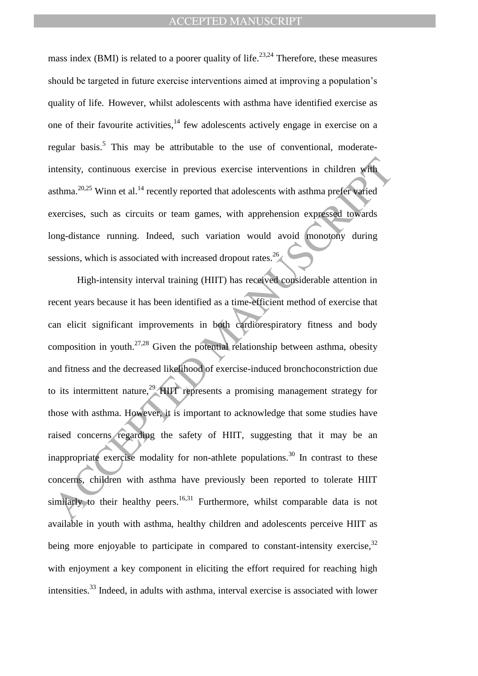mass index (BMI) is related to a poorer quality of life.<sup>23,24</sup> Therefore, these measures should be targeted in future exercise interventions aimed at improving a population's quality of life. However, whilst adolescents with asthma have identified exercise as one of their favourite activities,  $14$  few adolescents actively engage in exercise on a regular basis.<sup>5</sup> This may be attributable to the use of conventional, moderateintensity, continuous exercise in previous exercise interventions in children with asthma.<sup>20,25</sup> Winn et al.<sup>14</sup> recently reported that adolescents with asthma prefer varied exercises, such as circuits or team games, with apprehension expressed towards long-distance running. Indeed, such variation would avoid monotony during sessions, which is associated with increased dropout rates.<sup>26</sup>

ntensity, continuous exercise in previous exercise interventions in children with<br>sthma.<sup>26,25</sup> Winn et al.<sup>14</sup> recently reported that adolescents with asthma prefer varied<br>vercises, such as circuits or team games, with ap High-intensity interval training (HIIT) has received considerable attention in recent years because it has been identified as a time-efficient method of exercise that can elicit significant improvements in both cardiorespiratory fitness and body composition in youth.<sup>27,28</sup> Given the potential relationship between asthma, obesity and fitness and the decreased likelihood of exercise-induced bronchoconstriction due to its intermittent nature,<sup>29</sup> HIIT represents a promising management strategy for those with asthma. However, it is important to acknowledge that some studies have raised concerns regarding the safety of HIIT, suggesting that it may be an inappropriate exercise modality for non-athlete populations.<sup>30</sup> In contrast to these concerns, children with asthma have previously been reported to tolerate HIIT similarly to their healthy peers.<sup>16,31</sup> Furthermore, whilst comparable data is not available in youth with asthma, healthy children and adolescents perceive HIIT as being more enjoyable to participate in compared to constant-intensity exercise,  $32$ with enjoyment a key component in eliciting the effort required for reaching high intensities.<sup>33</sup> Indeed, in adults with asthma, interval exercise is associated with lower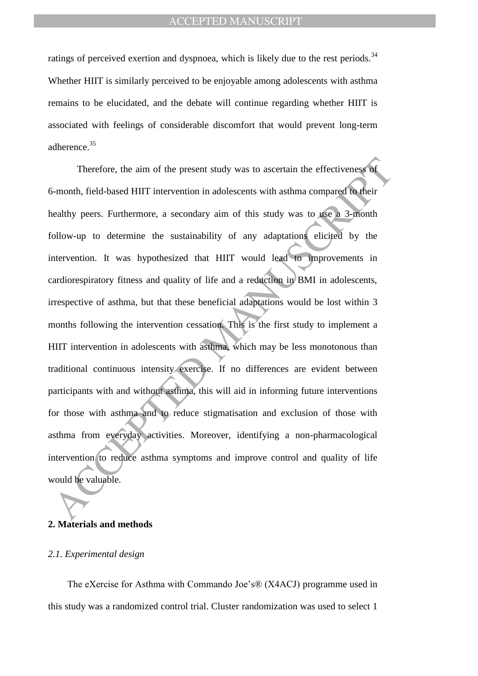ratings of perceived exertion and dyspnoea, which is likely due to the rest periods.<sup>34</sup> Whether HIIT is similarly perceived to be enjoyable among adolescents with asthma remains to be elucidated, and the debate will continue regarding whether HIIT is associated with feelings of considerable discomfort that would prevent long-term adherence.<sup>35</sup>

Therefore, the aim of the present study was to ascertain the effectiveness of<br>s-month, field-based HIIT intervention in adolescents with asthma compared to their<br>ealthy peers. Furthermore, a secondary aim of this study was Therefore, the aim of the present study was to ascertain the effectiveness of 6-month, field-based HIIT intervention in adolescents with asthma compared to their healthy peers. Furthermore, a secondary aim of this study was to use a 3-month follow-up to determine the sustainability of any adaptations elicited by the intervention. It was hypothesized that HIIT would lead to improvements in cardiorespiratory fitness and quality of life and a reduction in BMI in adolescents, irrespective of asthma, but that these beneficial adaptations would be lost within 3 months following the intervention cessation. This is the first study to implement a HIIT intervention in adolescents with asthma, which may be less monotonous than traditional continuous intensity exercise. If no differences are evident between participants with and without asthma, this will aid in informing future interventions for those with asthma and to reduce stigmatisation and exclusion of those with asthma from everyday activities. Moreover, identifying a non-pharmacological intervention to reduce asthma symptoms and improve control and quality of life would be valuable.

## **2. Materials and methods**

#### *2.1. Experimental design*

The eXercise for Asthma with Commando Joe's® (X4ACJ) programme used in this study was a randomized control trial. Cluster randomization was used to select 1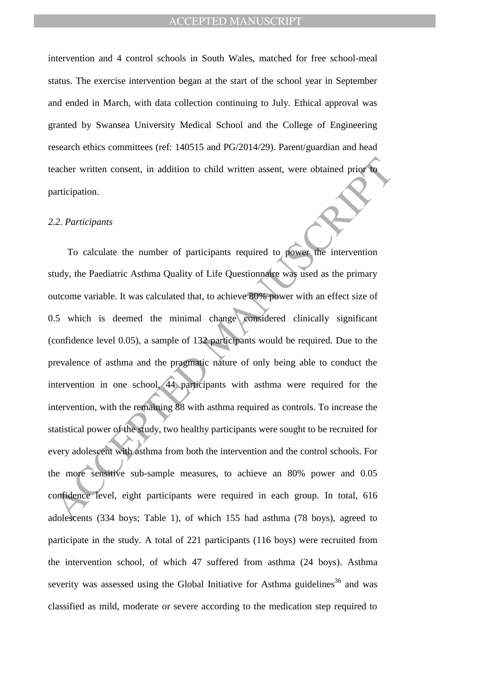intervention and 4 control schools in South Wales, matched for free school-meal status. The exercise intervention began at the start of the school year in September and ended in March, with data collection continuing to July. Ethical approval was granted by Swansea University Medical School and the College of Engineering research ethics committees (ref: 140515 and PG/2014/29). Parent/guardian and head teacher written consent, in addition to child written assent, were obtained prior to participation.

#### *2.2. Participants*

eacher written consent, in addition to child written assent, were obtained prior to<br>articipation.<br>2.2. Participants<br>To calculate the number of participants required to power the intervention<br>udy, the Paediatric Asthma Qual To calculate the number of participants required to power the intervention study, the Paediatric Asthma Quality of Life Questionnaire was used as the primary outcome variable. It was calculated that, to achieve 80% power with an effect size of 0.5 which is deemed the minimal change considered clinically significant (confidence level 0.05), a sample of 132 participants would be required. Due to the prevalence of asthma and the pragmatic nature of only being able to conduct the intervention in one school, 44 participants with asthma were required for the intervention, with the remaining 88 with asthma required as controls. To increase the statistical power of the study, two healthy participants were sought to be recruited for every adolescent with asthma from both the intervention and the control schools. For the more sensitive sub-sample measures, to achieve an 80% power and 0.05 confidence level, eight participants were required in each group. In total, 616 adolescents (334 boys; Table 1), of which 155 had asthma (78 boys), agreed to participate in the study. A total of 221 participants (116 boys) were recruited from the intervention school, of which 47 suffered from asthma (24 boys). Asthma severity was assessed using the Global Initiative for Asthma guidelines<sup>36</sup> and was classified as mild, moderate or severe according to the medication step required to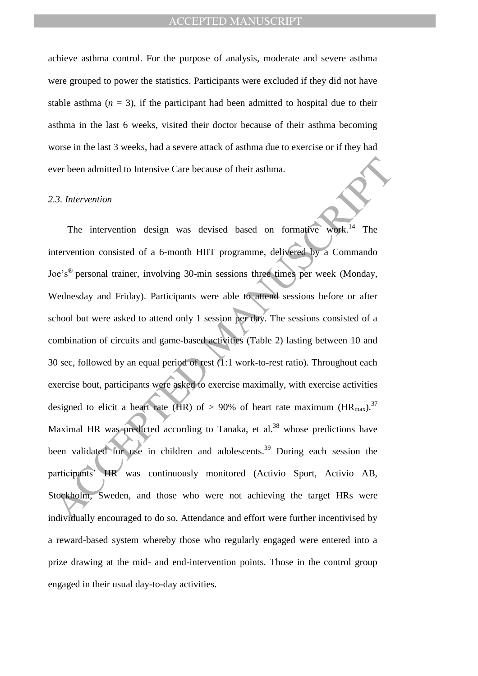achieve asthma control. For the purpose of analysis, moderate and severe asthma were grouped to power the statistics. Participants were excluded if they did not have stable asthma  $(n = 3)$ , if the participant had been admitted to hospital due to their asthma in the last 6 weeks, visited their doctor because of their asthma becoming worse in the last 3 weeks, had a severe attack of asthma due to exercise or if they had ever been admitted to Intensive Care because of their asthma.

## *2.3. Intervention*

Example 10 Intensive Care because of their asthma.<br>
A.3. Intervention<br>
The intervention design was devised based on formalive week.<sup>14</sup> The<br>
Intervention consisted of a 6-month HIIT programme, delivered by a Commando<br>
or The intervention design was devised based on formative work.<sup>14</sup> The intervention consisted of a 6-month HIIT programme, delivered by a Commando Joe's® personal trainer, involving 30-min sessions three times per week (Monday, Wednesday and Friday). Participants were able to attend sessions before or after school but were asked to attend only 1 session per day. The sessions consisted of a combination of circuits and game-based activities (Table 2) lasting between 10 and 30 sec, followed by an equal period of rest (1:1 work-to-rest ratio). Throughout each exercise bout, participants were asked to exercise maximally, with exercise activities designed to elicit a heart rate (HR) of > 90% of heart rate maximum (HR<sub>max</sub>).<sup>37</sup> Maximal HR was predicted according to Tanaka, et al.<sup>38</sup> whose predictions have been validated for use in children and adolescents.<sup>39</sup> During each session the participants' HR was continuously monitored (Activio Sport, Activio AB, Stockholm, Sweden, and those who were not achieving the target HRs were individually encouraged to do so. Attendance and effort were further incentivised by a reward-based system whereby those who regularly engaged were entered into a prize drawing at the mid- and end-intervention points. Those in the control group engaged in their usual day-to-day activities.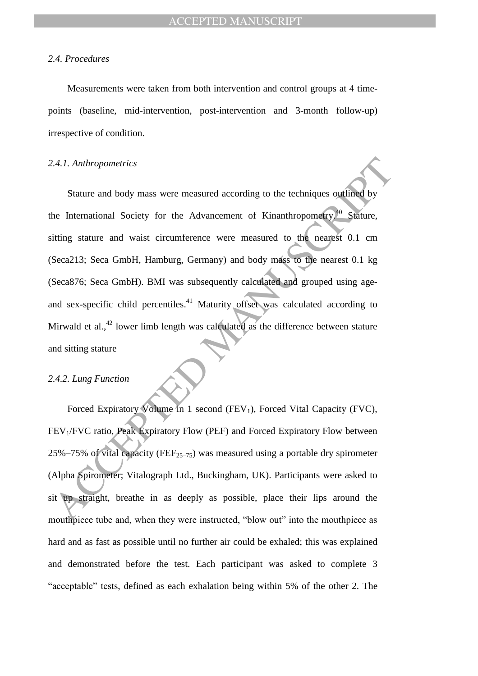## *2.4. Procedures*

Measurements were taken from both intervention and control groups at 4 timepoints (baseline, mid-intervention, post-intervention and 3-month follow-up) irrespective of condition.

## *2.4.1. Anthropometrics*

2.4.1. Anthropometrics<br>
Stature and body mass were measured according to the techniques outlined by<br>
the International Society for the Advancement of Kinanthropometry.<sup>10</sup> Stature,<br>
itting stature and wast circumference we Stature and body mass were measured according to the techniques outlined by the International Society for the Advancement of Kinanthropometry.<sup>40</sup> Stature, sitting stature and waist circumference were measured to the nearest 0.1 cm (Seca213; Seca GmbH, Hamburg, Germany) and body mass to the nearest 0.1 kg (Seca876; Seca GmbH). BMI was subsequently calculated and grouped using ageand sex-specific child percentiles.<sup>41</sup> Maturity offset was calculated according to Mirwald et al.,<sup>42</sup> lower limb length was calculated as the difference between stature and sitting stature

#### *2.4.2. Lung Function*

Forced Expiratory Volume in 1 second  $(FEV_1)$ , Forced Vital Capacity (FVC), FEV<sub>1</sub>/FVC ratio, Peak Expiratory Flow (PEF) and Forced Expiratory Flow between 25%–75% of vital capacity (FEF<sub>25–75</sub>) was measured using a portable dry spirometer (Alpha Spirometer; Vitalograph Ltd., Buckingham, UK). Participants were asked to sit up straight, breathe in as deeply as possible, place their lips around the mouthpiece tube and, when they were instructed, "blow out" into the mouthpiece as hard and as fast as possible until no further air could be exhaled; this was explained and demonstrated before the test. Each participant was asked to complete 3 "acceptable" tests, defined as each exhalation being within 5% of the other 2. The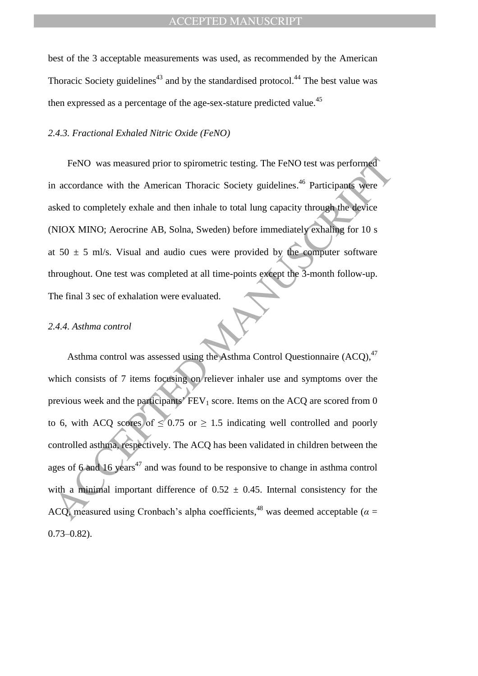best of the 3 acceptable measurements was used, as recommended by the American Thoracic Society guidelines<sup>43</sup> and by the standardised protocol.<sup>44</sup> The best value was then expressed as a percentage of the age-sex-stature predicted value.<sup>45</sup>

## *2.4.3. Fractional Exhaled Nitric Oxide (FeNO)*

FeNO was measured prior to spirometric testing. The FeNO test was performed in accordance with the American Thoracic Society guidelines.<sup>46</sup> Participants were asked to completely exhale and then inhale to total lung capacity through the device (NIOX MINO; Aerocrine AB, Solna, Sweden) before immediately exhaling for 10 s at  $50 \pm 5$  ml/s. Visual and audio cues were provided by the computer software throughout. One test was completed at all time-points except the 3-month follow-up. The final 3 sec of exhalation were evaluated.

#### *2.4.4. Asthma control*

FeNO was measured prior to spirometric testing. The FeNO test was performed<br>a accordance with the American Thoracic Society guidelines.<sup>46</sup> Participans were<br>sked to completely exhale and then inhale to total lung capacity Asthma control was assessed using the Asthma Control Questionnaire  $(ACQ)$ ,  $47$ which consists of 7 items focusing on reliever inhaler use and symptoms over the previous week and the participants'  $FEV<sub>1</sub>$  score. Items on the ACQ are scored from 0 to 6, with ACQ scores of  $\leq 0.75$  or  $\geq 1.5$  indicating well controlled and poorly controlled asthma, respectively. The ACQ has been validated in children between the ages of 6 and 16 years<sup>47</sup> and was found to be responsive to change in asthma control with a minimal important difference of  $0.52 \pm 0.45$ . Internal consistency for the ACQ, measured using Cronbach's alpha coefficients,<sup>48</sup> was deemed acceptable ( $\alpha$  = 0.73–0.82).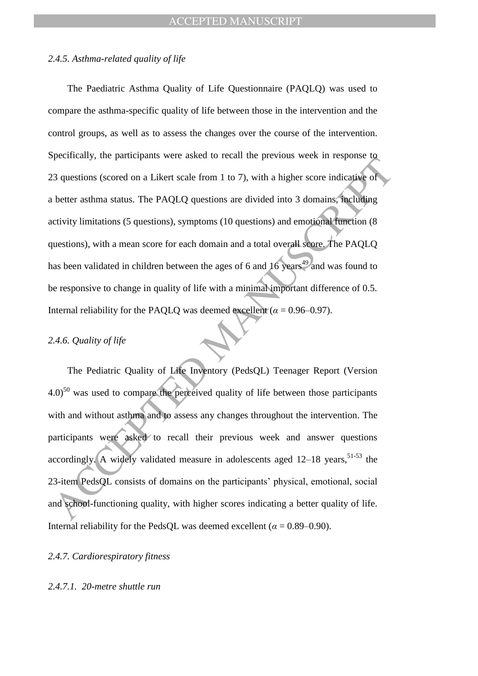## *2.4.5. Asthma-related quality of life*

Extendingly, the participants were used to feed in the previous were in response to a discussion (scored on a Likert scale from 1 to 7), with a higher score indicative of better asthma status. The PAQLQ questions are divi The Paediatric Asthma Quality of Life Questionnaire (PAQLQ) was used to compare the asthma-specific quality of life between those in the intervention and the control groups, as well as to assess the changes over the course of the intervention. Specifically, the participants were asked to recall the previous week in response to 23 questions (scored on a Likert scale from 1 to 7), with a higher score indicative of a better asthma status. The PAQLQ questions are divided into 3 domains, including activity limitations (5 questions), symptoms (10 questions) and emotional function (8 questions), with a mean score for each domain and a total overall score. The PAQLQ has been validated in children between the ages of 6 and 16 years<sup>49</sup> and was found to be responsive to change in quality of life with a minimal important difference of 0.5. Internal reliability for the PAQLQ was deemed excellent ( $\alpha$  = 0.96–0.97).

## *2.4.6. Quality of life*

The Pediatric Quality of Life Inventory (PedsQL) Teenager Report (Version  $4.0$ <sup>50</sup> was used to compare the perceived quality of life between those participants with and without asthma and to assess any changes throughout the intervention. The participants were asked to recall their previous week and answer questions accordingly. A widely validated measure in adolescents aged 12–18 years, 51-53 the 23-item PedsQL consists of domains on the participants' physical, emotional, social and school-functioning quality, with higher scores indicating a better quality of life. Internal reliability for the PedsQL was deemed excellent ( $\alpha = 0.89 - 0.90$ ).

### *2.4.7. Cardiorespiratory fitness*

## *2.4.7.1. 20-metre shuttle run*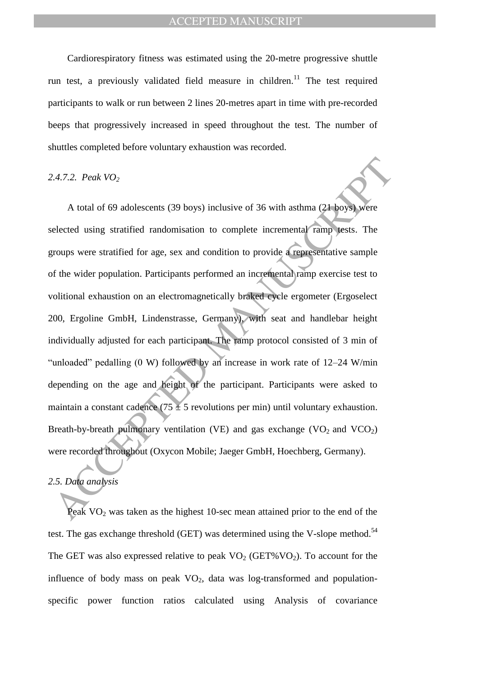Cardiorespiratory fitness was estimated using the 20-metre progressive shuttle run test, a previously validated field measure in children.<sup>11</sup> The test required participants to walk or run between 2 lines 20-metres apart in time with pre-recorded beeps that progressively increased in speed throughout the test. The number of shuttles completed before voluntary exhaustion was recorded.

#### *2.4.7.2. Peak VO<sup>2</sup>*

2.4.7.2. Peak VO<sub>2</sub><br>A total of 69 adolescents (39 boys) inclusive of 36 with asthma (21 boys) were<br>elected using stratified randomisation to complete incremental range tests. The<br>groups were stratified for age, sex and co A total of 69 adolescents (39 boys) inclusive of 36 with asthma (21 boys) were selected using stratified randomisation to complete incremental ramp tests. The groups were stratified for age, sex and condition to provide a representative sample of the wider population. Participants performed an incremental ramp exercise test to volitional exhaustion on an electromagnetically braked cycle ergometer (Ergoselect 200, Ergoline GmbH, Lindenstrasse, Germany), with seat and handlebar height individually adjusted for each participant. The ramp protocol consisted of 3 min of "unloaded" pedalling (0 W) followed by an increase in work rate of 12–24 W/min depending on the age and height of the participant. Participants were asked to maintain a constant cadence (75  $\pm$  5 revolutions per min) until voluntary exhaustion. Breath-by-breath pulmonary ventilation (VE) and gas exchange (VO<sub>2</sub> and VCO<sub>2</sub>) were recorded throughout (Oxycon Mobile; Jaeger GmbH, Hoechberg, Germany).

## *2.5. Data analysis*

Peak  $VO<sub>2</sub>$  was taken as the highest 10-sec mean attained prior to the end of the test. The gas exchange threshold (GET) was determined using the V-slope method.<sup>54</sup> The GET was also expressed relative to peak  $VO<sub>2</sub>$  (GET%VO<sub>2</sub>). To account for the influence of body mass on peak  $VO<sub>2</sub>$ , data was log-transformed and populationspecific power function ratios calculated using Analysis of covariance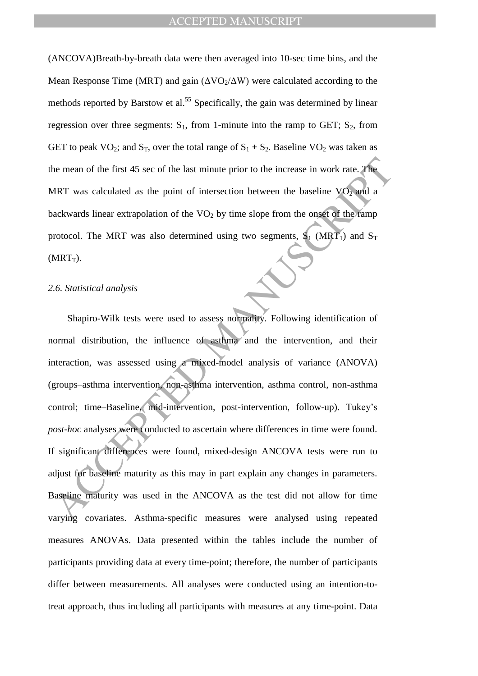(ANCOVA)Breath-by-breath data were then averaged into 10-sec time bins, and the Mean Response Time (MRT) and gain  $(\Delta\text{VO}_2/\Delta\text{W})$  were calculated according to the methods reported by Barstow et al.<sup>55</sup> Specifically, the gain was determined by linear regression over three segments:  $S_1$ , from 1-minute into the ramp to GET;  $S_2$ , from GET to peak  $VO_2$ ; and  $S_T$ , over the total range of  $S_1 + S_2$ . Baseline  $VO_2$  was taken as the mean of the first 45 sec of the last minute prior to the increase in work rate. The MRT was calculated as the point of intersection between the baseline  $VO<sub>2</sub>$  and a backwards linear extrapolation of the  $VO<sub>2</sub>$  by time slope from the onset of the ramp protocol. The MRT was also determined using two segments,  $S_1$  (MRT<sub>1</sub>) and  $S_T$  $(MRT_T)$ .

## *2.6. Statistical analysis*

The mean of the first 45 sec of the last minute prior to the increase in work rate. The<br>MRT was calculated as the point of intersection between the baseline VO<sub>2</sub> and a<br>vackwards linear extrapolation of the VO<sub>2</sub> by time s Shapiro-Wilk tests were used to assess normality. Following identification of normal distribution, the influence of asthma and the intervention, and their interaction, was assessed using a mixed-model analysis of variance (ANOVA) (groups–asthma intervention, non-asthma intervention, asthma control, non-asthma control; time–Baseline, mid-intervention, post-intervention, follow-up). Tukey's *post-hoc* analyses were conducted to ascertain where differences in time were found. If significant differences were found, mixed-design ANCOVA tests were run to adjust for baseline maturity as this may in part explain any changes in parameters. Baseline maturity was used in the ANCOVA as the test did not allow for time varying covariates. Asthma-specific measures were analysed using repeated measures ANOVAs. Data presented within the tables include the number of participants providing data at every time-point; therefore, the number of participants differ between measurements. All analyses were conducted using an intention-totreat approach, thus including all participants with measures at any time-point. Data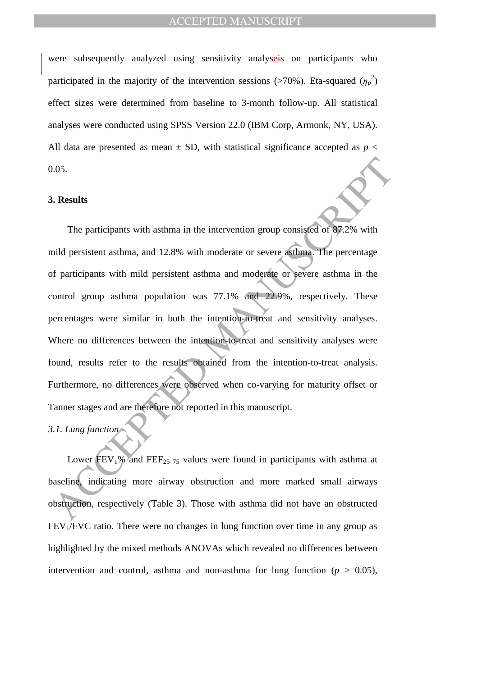were subsequently analyzed using sensitivity analyzers on participants who participated in the majority of the intervention sessions (>70%). Eta-squared  $(\eta_p^2)$ effect sizes were determined from baseline to 3-month follow-up. All statistical analyses were conducted using SPSS Version 22.0 (IBM Corp, Armonk, NY, USA). All data are presented as mean  $\pm$  SD, with statistical significance accepted as  $p <$ 0.05.

### **3. Results**

1.05.<br> **ACCEL TENT ACCED** TO a mean in the intervention group consisted of 87.2% with<br>
inidd persistent asthma, and 12.8% with moderate or severe asthma. The percentage<br>
of participants with mild persistent asthma and mod The participants with asthma in the intervention group consisted of 87.2% with mild persistent asthma, and 12.8% with moderate or severe asthma. The percentage of participants with mild persistent asthma and moderate or severe asthma in the control group asthma population was 77.1% and 22.9%, respectively. These percentages were similar in both the intention-to-treat and sensitivity analyses. Where no differences between the intention-to-treat and sensitivity analyses were found, results refer to the results obtained from the intention-to-treat analysis. Furthermore, no differences were observed when co-varying for maturity offset or Tanner stages and are therefore not reported in this manuscript.

## *3.1. Lung function*

Lower  $\text{FEV}_1\%$  and  $\text{FEF}_{25-75}$  values were found in participants with asthma at baseline, indicating more airway obstruction and more marked small airways obstruction, respectively (Table 3). Those with asthma did not have an obstructed  $FEV<sub>1</sub>/FVC$  ratio. There were no changes in lung function over time in any group as highlighted by the mixed methods ANOVAs which revealed no differences between intervention and control, asthma and non-asthma for lung function ( $p > 0.05$ ),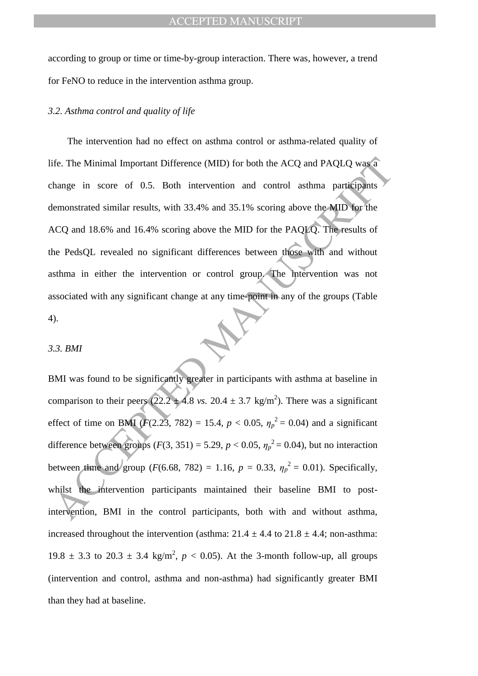according to group or time or time-by-group interaction. There was, however, a trend for FeNO to reduce in the intervention asthma group.

## *3.2. Asthma control and quality of life*

ife. The Minimal Important Difference (MID) for both the ACQ and PAQLQ was a<br>thange in score of 0.5. Both intervention and control asthma participants<br>lemonstrated similar results, with 33.4% and 35.1% scoring above the M The intervention had no effect on asthma control or asthma-related quality of life. The Minimal Important Difference (MID) for both the ACQ and PAQLQ was a change in score of 0.5. Both intervention and control asthma participants demonstrated similar results, with 33.4% and 35.1% scoring above the MID for the ACQ and 18.6% and 16.4% scoring above the MID for the PAQLQ. The results of the PedsQL revealed no significant differences between those with and without asthma in either the intervention or control group. The intervention was not associated with any significant change at any time-point in any of the groups (Table 4).

#### *3.3. BMI*

BMI was found to be significantly greater in participants with asthma at baseline in comparison to their peers  $(22.2 \pm 4.8 \text{ vs. } 20.4 \pm 3.7 \text{ kg/m}^2)$ . There was a significant effect of time on BMI ( $F(2.23, 782) = 15.4$ ,  $p < 0.05$ ,  $\eta_p^2 = 0.04$ ) and a significant difference between groups  $(F(3, 351) = 5.29, p < 0.05, \eta_p^2 = 0.04)$ , but no interaction between time and group (*F*(6.68, 782) = 1.16,  $p = 0.33$ ,  $\eta_p^2 = 0.01$ ). Specifically, whilst the intervention participants maintained their baseline BMI to postintervention, BMI in the control participants, both with and without asthma, increased throughout the intervention (asthma:  $21.4 \pm 4.4$  to  $21.8 \pm 4.4$ ; non-asthma: 19.8  $\pm$  3.3 to 20.3  $\pm$  3.4 kg/m<sup>2</sup>,  $p$  < 0.05). At the 3-month follow-up, all groups (intervention and control, asthma and non-asthma) had significantly greater BMI than they had at baseline.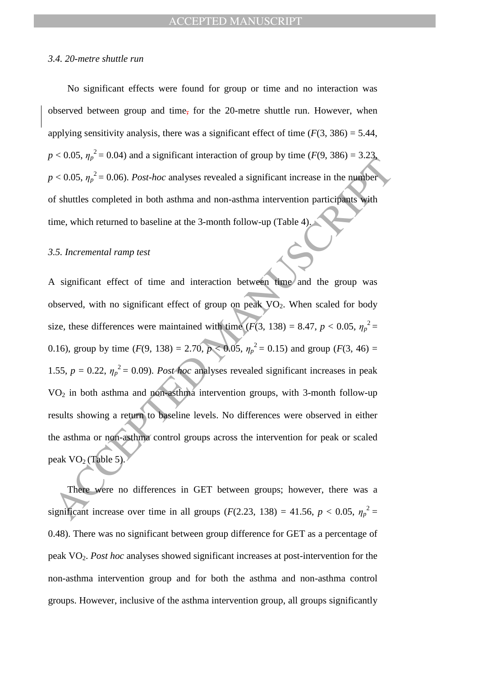#### *3.4. 20-metre shuttle run*

No significant effects were found for group or time and no interaction was observed between group and time, for the 20-metre shuttle run. However, when applying sensitivity analysis, there was a significant effect of time  $(F(3, 386) = 5.44$ ,  $p < 0.05$ ,  $\eta_p^2 = 0.04$ ) and a significant interaction of group by time (*F*(9, 386) = 3.23,  $p < 0.05$ ,  $\eta_p^2 = 0.06$ ). *Post-hoc* analyses revealed a significant increase in the number of shuttles completed in both asthma and non-asthma intervention participants with time, which returned to baseline at the 3-month follow-up (Table 4).

### *3.5. Incremental ramp test*

According to the state of the and interaction of group by time ( $x(x, \cos y = x \sin \theta < 0.05, \eta_p^2 = 0.06$ ). Post-hoc analyses revealed a significant increase in the number of shuttles completed in both asthma and non-asthma interv A significant effect of time and interaction between time and the group was observed, with no significant effect of group on peak  $\overline{VO}_2$ . When scaled for body size, these differences were maintained with time ( $F(3, 138) = 8.47$ ,  $p < 0.05$ ,  $\eta_p^2 =$ 0.16), group by time  $(F(9, 138) = 2.70, p < 0.05, \eta_p^2 = 0.15)$  and group  $(F(3, 46) =$ 1.55,  $p = 0.22$ ,  $\eta_p^2 = 0.09$ ). *Post hoc* analyses revealed significant increases in peak VO<sup>2</sup> in both asthma and non-asthma intervention groups, with 3-month follow-up results showing a return to baseline levels. No differences were observed in either the asthma or non-asthma control groups across the intervention for peak or scaled peak  $VO<sub>2</sub>$  (Table 5).

There were no differences in GET between groups; however, there was a significant increase over time in all groups ( $F(2.23, 138) = 41.56$ ,  $p < 0.05$ ,  $\eta_p^2 =$ 0.48). There was no significant between group difference for GET as a percentage of peak VO2. *Post hoc* analyses showed significant increases at post-intervention for the non-asthma intervention group and for both the asthma and non-asthma control groups. However, inclusive of the asthma intervention group, all groups significantly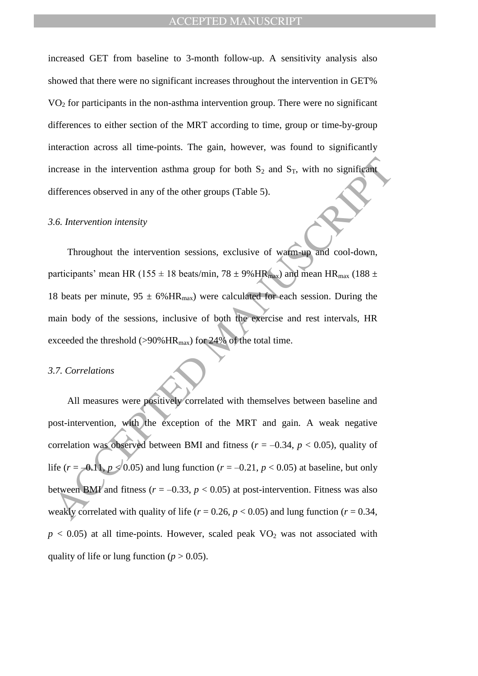increased GET from baseline to 3-month follow-up. A sensitivity analysis also showed that there were no significant increases throughout the intervention in GET% VO<sup>2</sup> for participants in the non-asthma intervention group. There were no significant differences to either section of the MRT according to time, group or time-by-group interaction across all time-points. The gain, however, was found to significantly increase in the intervention asthma group for both  $S_2$  and  $S_T$ , with no significant differences observed in any of the other groups (Table 5).

#### *3.6. Intervention intensity*

Throughout the intervention sessions, exclusive of warm-up and cool-down, participants' mean HR (155  $\pm$  18 beats/min, 78  $\pm$  9% HR<sub>max</sub>) and mean HR<sub>max</sub> (188  $\pm$ 18 beats per minute,  $95 \pm 6\%$  HR<sub>max</sub>) were calculated for each session. During the main body of the sessions, inclusive of both the exercise and rest intervals, HR exceeded the threshold ( $>90\%$  HR<sub>max</sub>) for 24% of the total time.

#### *3.7. Correlations*

ncrease in the intervention asthma group for both  $S_2$  and  $S_T$ , with no significant<br>lifterences observed in any of the other groups (Table 5).<br>
A.6. Intervention intensity<br>
Throughout the intervention sessions, exclusiv All measures were positively correlated with themselves between baseline and post-intervention, with the exception of the MRT and gain. A weak negative correlation was observed between BMI and fitness ( $r = -0.34$ ,  $p < 0.05$ ), quality of life ( $r = -0.11$ ,  $p \le 0.05$ ) and lung function ( $r = -0.21$ ,  $p < 0.05$ ) at baseline, but only between BMI and fitness ( $r = -0.33$ ,  $p < 0.05$ ) at post-intervention. Fitness was also weakly correlated with quality of life ( $r = 0.26$ ,  $p < 0.05$ ) and lung function ( $r = 0.34$ ,  $p$  < 0.05) at all time-points. However, scaled peak  $VO<sub>2</sub>$  was not associated with quality of life or lung function ( $p > 0.05$ ).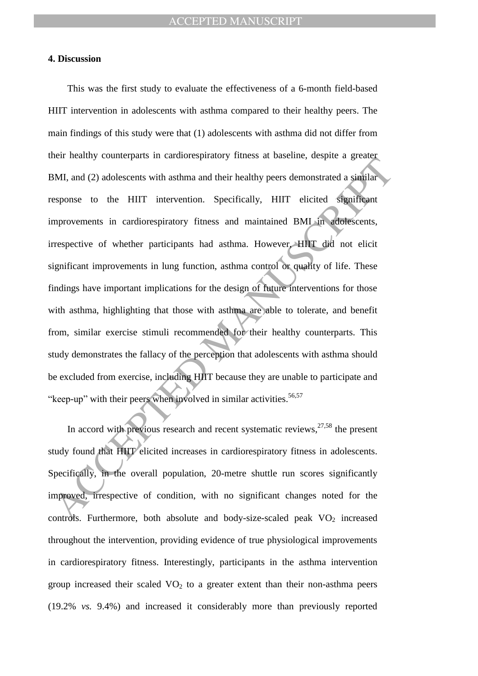## **4. Discussion**

End its data of the overall provides in the significant changes and the overall provides an tend<br>of the observation of the matter of the significant<br>provements in cardiorespiratory fitness and maintained BML in adotescents This was the first study to evaluate the effectiveness of a 6-month field-based HIIT intervention in adolescents with asthma compared to their healthy peers. The main findings of this study were that (1) adolescents with asthma did not differ from their healthy counterparts in cardiorespiratory fitness at baseline, despite a greater BMI, and (2) adolescents with asthma and their healthy peers demonstrated a similar response to the HIIT intervention. Specifically, HIIT elicited significant improvements in cardiorespiratory fitness and maintained BMI in adolescents, irrespective of whether participants had asthma. However, HIIT did not elicit significant improvements in lung function, asthma control or quality of life. These findings have important implications for the design of future interventions for those with asthma, highlighting that those with asthma are able to tolerate, and benefit from, similar exercise stimuli recommended for their healthy counterparts. This study demonstrates the fallacy of the perception that adolescents with asthma should be excluded from exercise, including HIIT because they are unable to participate and "keep-up" with their peers when involved in similar activities.<sup>56,57</sup>

In accord with previous research and recent systematic reviews,  $27,58$  the present study found that HIIT elicited increases in cardiorespiratory fitness in adolescents. Specifically, in the overall population, 20-metre shuttle run scores significantly improved, irrespective of condition, with no significant changes noted for the controls. Furthermore, both absolute and body-size-scaled peak  $VO<sub>2</sub>$  increased throughout the intervention, providing evidence of true physiological improvements in cardiorespiratory fitness. Interestingly, participants in the asthma intervention group increased their scaled  $VO<sub>2</sub>$  to a greater extent than their non-asthma peers (19.2% *vs.* 9.4%) and increased it considerably more than previously reported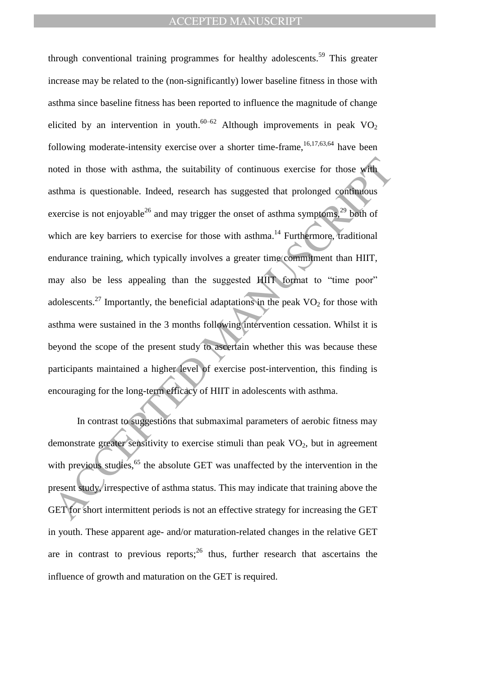noted in those with asthma, the suitability of continuous exercise for those with<br>sthma is questionable. Indeed, research has suggested that prolonged continuous<br>sercise is not enjoyable<sup>26</sup> and may trigger the onset of a through conventional training programmes for healthy adolescents.<sup>59</sup> This greater increase may be related to the (non-significantly) lower baseline fitness in those with asthma since baseline fitness has been reported to influence the magnitude of change elicited by an intervention in youth.<sup>60–62</sup> Although improvements in peak  $VO<sub>2</sub>$ following moderate-intensity exercise over a shorter time-frame,  $16,17,63,64$  have been noted in those with asthma, the suitability of continuous exercise for those with asthma is questionable. Indeed, research has suggested that prolonged continuous exercise is not enjoyable<sup>26</sup> and may trigger the onset of asthma symptoms,<sup>29</sup> both of which are key barriers to exercise for those with asthma.<sup>14</sup> Furthermore, traditional endurance training, which typically involves a greater time commitment than HIIT, may also be less appealing than the suggested HIIT format to "time poor" adolescents.<sup>27</sup> Importantly, the beneficial adaptations in the peak  $VO<sub>2</sub>$  for those with asthma were sustained in the 3 months following intervention cessation. Whilst it is beyond the scope of the present study to ascertain whether this was because these participants maintained a higher level of exercise post-intervention, this finding is encouraging for the long-term efficacy of HIIT in adolescents with asthma.

In contrast to suggestions that submaximal parameters of aerobic fitness may demonstrate greater sensitivity to exercise stimuli than peak  $VO<sub>2</sub>$ , but in agreement with previous studies,<sup>65</sup> the absolute GET was unaffected by the intervention in the present study, irrespective of asthma status. This may indicate that training above the GET for short intermittent periods is not an effective strategy for increasing the GET in youth. These apparent age- and/or maturation-related changes in the relative GET are in contrast to previous reports;  $2^6$  thus, further research that ascertains the influence of growth and maturation on the GET is required.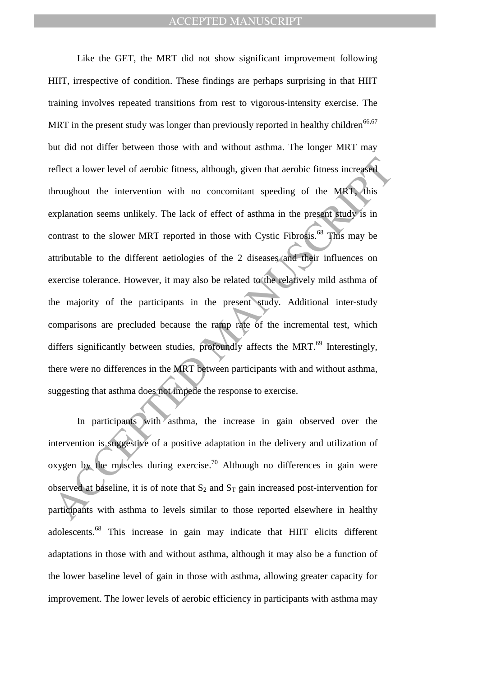eflect a lower level of aerobic fitness, although, given that aerobic fitness increased<br>throughout the intervention with no concomitant speeding of the MRT-this<br>syplanation seems unlikely. The lack of effect of asthma in Like the GET, the MRT did not show significant improvement following HIIT, irrespective of condition. These findings are perhaps surprising in that HIIT training involves repeated transitions from rest to vigorous-intensity exercise. The MRT in the present study was longer than previously reported in healthy children<sup>66,67</sup> but did not differ between those with and without asthma. The longer MRT may reflect a lower level of aerobic fitness, although, given that aerobic fitness increased throughout the intervention with no concomitant speeding of the MRT, this explanation seems unlikely. The lack of effect of asthma in the present study is in contrast to the slower MRT reported in those with Cystic Fibrosis.<sup>68</sup> This may be attributable to the different aetiologies of the 2 diseases and their influences on exercise tolerance. However, it may also be related to the relatively mild asthma of the majority of the participants in the present study. Additional inter-study comparisons are precluded because the ramp rate of the incremental test, which differs significantly between studies, profoundly affects the MRT. $^{69}$  Interestingly, there were no differences in the MRT between participants with and without asthma, suggesting that asthma does not impede the response to exercise.

In participants with asthma, the increase in gain observed over the intervention is suggestive of a positive adaptation in the delivery and utilization of oxygen by the muscles during exercise.<sup>70</sup> Although no differences in gain were observed at baseline, it is of note that  $S_2$  and  $S_T$  gain increased post-intervention for participants with asthma to levels similar to those reported elsewhere in healthy adolescents.<sup>68</sup> This increase in gain may indicate that HIIT elicits different adaptations in those with and without asthma, although it may also be a function of the lower baseline level of gain in those with asthma, allowing greater capacity for improvement. The lower levels of aerobic efficiency in participants with asthma may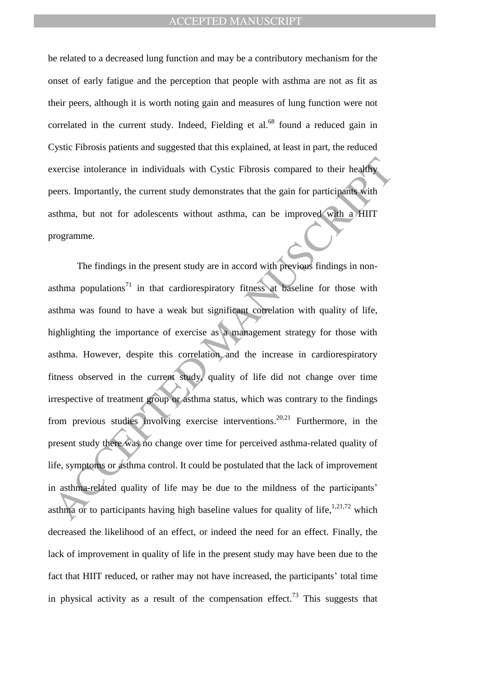be related to a decreased lung function and may be a contributory mechanism for the onset of early fatigue and the perception that people with asthma are not as fit as their peers, although it is worth noting gain and measures of lung function were not correlated in the current study. Indeed, Fielding et al. $^{68}$  found a reduced gain in Cystic Fibrosis patients and suggested that this explained, at least in part, the reduced exercise intolerance in individuals with Cystic Fibrosis compared to their healthy peers. Importantly, the current study demonstrates that the gain for participants with asthma, but not for adolescents without asthma, can be improved with a HIIT programme.

Exercise intolerance in individuals with Cystic Fibrosis compared to their healthy<br>exers. Importantly, the current study demonstrates that the gain for participants with<br>stshma, but not for adolescents without asthma, can The findings in the present study are in accord with previous findings in nonasthma populations<sup>71</sup> in that cardiorespiratory fitness at baseline for those with asthma was found to have a weak but significant correlation with quality of life, highlighting the importance of exercise as a management strategy for those with asthma. However, despite this correlation and the increase in cardiorespiratory fitness observed in the current study, quality of life did not change over time irrespective of treatment group or asthma status, which was contrary to the findings from previous studies involving exercise interventions.<sup>20,21</sup> Furthermore, in the present study there was no change over time for perceived asthma-related quality of life, symptoms or asthma control. It could be postulated that the lack of improvement in asthma-related quality of life may be due to the mildness of the participants' asthma or to participants having high baseline values for quality of life,  $1,21,72$  which decreased the likelihood of an effect, or indeed the need for an effect. Finally, the lack of improvement in quality of life in the present study may have been due to the fact that HIIT reduced, or rather may not have increased, the participants' total time in physical activity as a result of the compensation effect.<sup>73</sup> This suggests that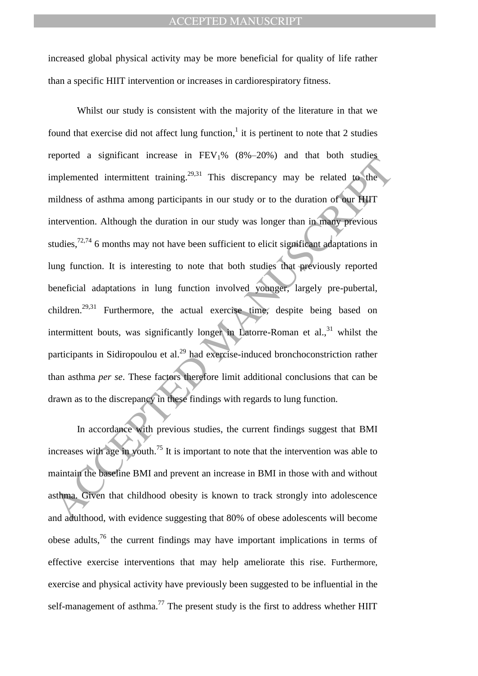increased global physical activity may be more beneficial for quality of life rather than a specific HIIT intervention or increases in cardiorespiratory fitness.

reported a significant include in  $12.51\,\mu$  (6.9 25.6) and dual both states.<br>Implemented intermittent training <sup>29,31</sup>. This discrepancy may be related to the<br>inidences of asthma among participants in our study or to the Whilst our study is consistent with the majority of the literature in that we found that exercise did not affect lung function, $<sup>1</sup>$  it is pertinent to note that 2 studies</sup> reported a significant increase in  $FEV<sub>1</sub>%$  (8%–20%) and that both studies implemented intermittent training.<sup>29,31</sup> This discrepancy may be related to the mildness of asthma among participants in our study or to the duration of our HIIT intervention. Although the duration in our study was longer than in many previous studies,  $72,74$  6 months may not have been sufficient to elicit significant adaptations in lung function. It is interesting to note that both studies that previously reported beneficial adaptations in lung function involved younger, largely pre-pubertal, children.<sup>29,31</sup> Furthermore, the actual exercise time, despite being based on intermittent bouts, was significantly longer in Latorre-Roman et  $al.,<sup>31</sup>$  whilst the participants in Sidiropoulou et al.<sup>29</sup> had exercise-induced bronchoconstriction rather than asthma *per se*. These factors therefore limit additional conclusions that can be drawn as to the discrepancy in these findings with regards to lung function.

In accordance with previous studies, the current findings suggest that BMI increases with age in youth.<sup>75</sup> It is important to note that the intervention was able to maintain the baseline BMI and prevent an increase in BMI in those with and without asthma. Given that childhood obesity is known to track strongly into adolescence and adulthood, with evidence suggesting that 80% of obese adolescents will become obese adults, $^{76}$  the current findings may have important implications in terms of effective exercise interventions that may help ameliorate this rise. Furthermore, exercise and physical activity have previously been suggested to be influential in the self-management of asthma.<sup>77</sup> The present study is the first to address whether HIIT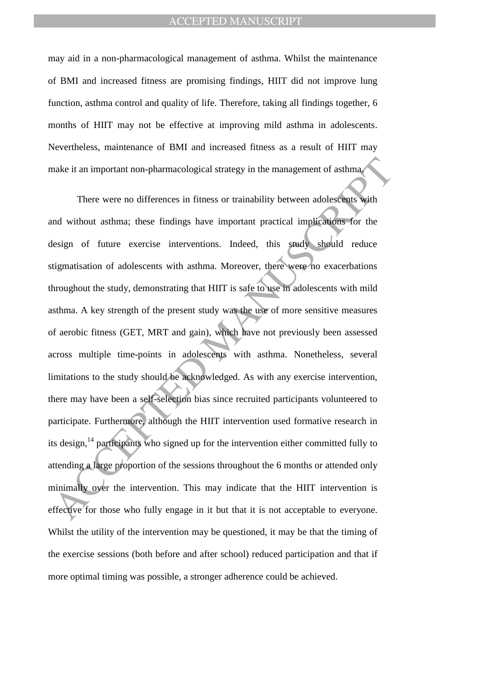may aid in a non-pharmacological management of asthma. Whilst the maintenance of BMI and increased fitness are promising findings, HIIT did not improve lung function, asthma control and quality of life. Therefore, taking all findings together, 6 months of HIIT may not be effective at improving mild asthma in adolescents. Nevertheless, maintenance of BMI and increased fitness as a result of HIIT may make it an important non-pharmacological strategy in the management of asthma.

make it an important non-pharmacological strategy in the management of asthmactable it and input there were no differences in fitness or trainability between adolescents with and without asthma; these findings have importa There were no differences in fitness or trainability between adolescents with and without asthma; these findings have important practical implications for the design of future exercise interventions. Indeed, this study should reduce stigmatisation of adolescents with asthma. Moreover, there were no exacerbations throughout the study, demonstrating that HIIT is safe to use in adolescents with mild asthma. A key strength of the present study was the use of more sensitive measures of aerobic fitness (GET, MRT and gain), which have not previously been assessed across multiple time-points in adolescents with asthma. Nonetheless, several limitations to the study should be acknowledged. As with any exercise intervention, there may have been a self-selection bias since recruited participants volunteered to participate. Furthermore, although the HIIT intervention used formative research in its design, <sup>14</sup> participants who signed up for the intervention either committed fully to attending a large proportion of the sessions throughout the 6 months or attended only minimally over the intervention. This may indicate that the HIIT intervention is effective for those who fully engage in it but that it is not acceptable to everyone. Whilst the utility of the intervention may be questioned, it may be that the timing of the exercise sessions (both before and after school) reduced participation and that if more optimal timing was possible, a stronger adherence could be achieved.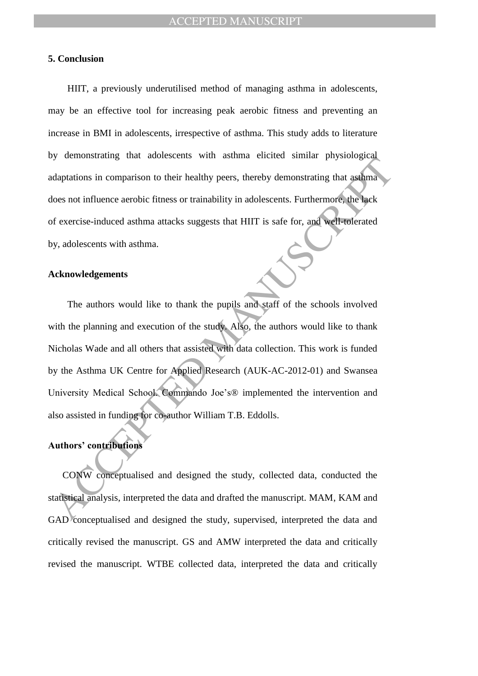## **5. Conclusion**

HIIT, a previously underutilised method of managing asthma in adolescents, may be an effective tool for increasing peak aerobic fitness and preventing an increase in BMI in adolescents, irrespective of asthma. This study adds to literature by demonstrating that adolescents with asthma elicited similar physiological adaptations in comparison to their healthy peers, thereby demonstrating that asthma does not influence aerobic fitness or trainability in adolescents. Furthermore, the lack of exercise-induced asthma attacks suggests that HIIT is safe for, and well-tolerated by, adolescents with asthma.

#### **Acknowledgements**

The mathematic and the state of the state of the state of the state of the state of the state of the state of the state of the state of the state of the state of the state of the state of the state of the state of the stat The authors would like to thank the pupils and staff of the schools involved with the planning and execution of the study. Also, the authors would like to thank Nicholas Wade and all others that assisted with data collection. This work is funded by the Asthma UK Centre for Applied Research (AUK-AC-2012-01) and Swansea University Medical School. Commando Joe's® implemented the intervention and also assisted in funding for co-author William T.B. Eddolls.

## **Authors' contributions**

CONW conceptualised and designed the study, collected data, conducted the statistical analysis, interpreted the data and drafted the manuscript. MAM, KAM and GAD conceptualised and designed the study, supervised, interpreted the data and critically revised the manuscript. GS and AMW interpreted the data and critically revised the manuscript. WTBE collected data, interpreted the data and critically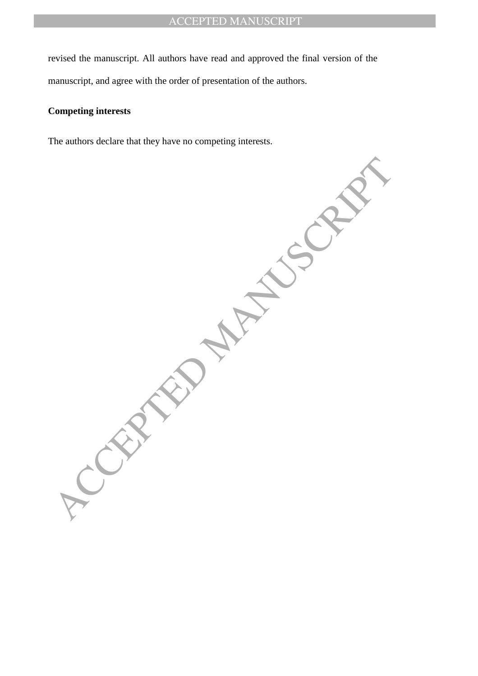revised the manuscript. All authors have read and approved the final version of the manuscript, and agree with the order of presentation of the authors.

## **Competing interests**

The authors declare that they have no competing interests.

**CEPTED MANUSCRIPT**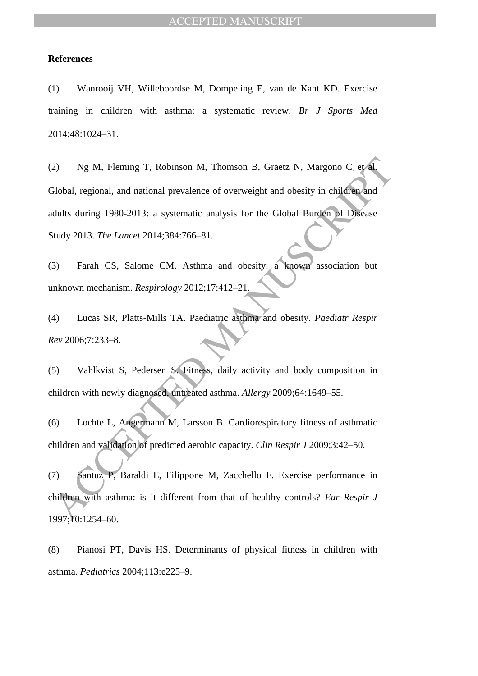## **References**

(1) Wanrooij VH, Willeboordse M, Dompeling E, van de Kant KD. Exercise training in children with asthma: a systematic review. *Br J Sports Med* 2014;48:1024–31.

2) Ng M, Fleming T, Robinson M, Thomson B, Graetz N, Margono C, et al<br>
2010al, regional, and national prevalence of overweight and obesity in children and<br>
duluts during 1980-2013: a systematic analysis for the Global Bur (2) Ng M, Fleming T, Robinson M, Thomson B, Graetz N, Margono C,et al. Global, regional, and national prevalence of overweight and obesity in children and adults during 1980-2013: a systematic analysis for the Global Burden of Disease Study 2013. *The Lancet* 2014;384:766–81.

(3) Farah CS, Salome CM. Asthma and obesity: a known association but unknown mechanism. *Respirology* 2012;17:412–21.

(4) Lucas SR, Platts-Mills TA. Paediatric asthma and obesity. *Paediatr Respir Rev* 2006;7:233–8.

(5) Vahlkvist S, Pedersen S. Fitness, daily activity and body composition in children with newly diagnosed, untreated asthma. *Allergy* 2009;64:1649–55.

(6) Lochte L, Angermann M, Larsson B. Cardiorespiratory fitness of asthmatic children and validation of predicted aerobic capacity. *Clin Respir J* 2009;3:42–50.

(7) Santuz P, Baraldi E, Filippone M, Zacchello F. Exercise performance in children with asthma: is it different from that of healthy controls? *Eur Respir J* 1997;10:1254–60.

(8) Pianosi PT, Davis HS. Determinants of physical fitness in children with asthma. *Pediatrics* 2004;113:e225–9.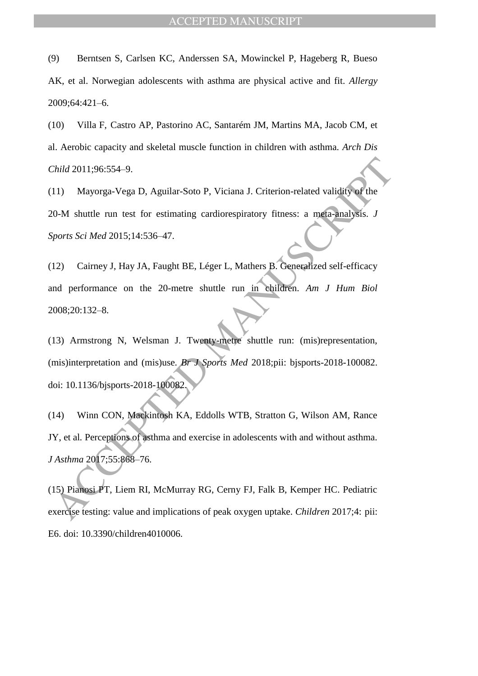(9) Berntsen S, Carlsen KC, Anderssen SA, Mowinckel P, Hageberg R, Bueso AK, et al. Norwegian adolescents with asthma are physical active and fit. *Allergy* 2009;64:421–6.

(10) Villa F, Castro AP, Pastorino AC, Santarém JM, Martins MA, Jacob CM, et al. Aerobic capacity and skeletal muscle function in children with asthma. *Arch Dis Child* 2011;96:554–9.

(11) Mayorga-Vega D, Aguilar-Soto P, Viciana J. Criterion-related validity of the 20-M shuttle run test for estimating cardiorespiratory fitness: a meta-analysis. *J Sports Sci Med* 2015;14:536–47.

Child 2011:96:554-9.<br>
11) Mayorga-Vega D, Aguilar-Soto P, Viciana J. Criterion-related validity of the<br>
0-M shuttle run test for estimating cardiorespiratory fitness: a mefa-analysis. J<br>
12) Cairney J, Hay JA, Faught BE, L (12) Cairney J, Hay JA, Faught BE, Léger L, Mathers B. Generalized self-efficacy and performance on the 20-metre shuttle run in children. *Am J Hum Biol* 2008;20:132–8.

(13) Armstrong N, Welsman J. Twenty-metre shuttle run: (mis)representation, (mis)interpretation and (mis)use. *Br J Sports Med* 2018;pii: bjsports-2018-100082. doi: 10.1136/bjsports-2018-100082.

(14) Winn CON, Mackintosh KA, Eddolls WTB, Stratton G, Wilson AM, Rance JY, et al*.* Perceptions of asthma and exercise in adolescents with and without asthma. *J Asthma* 2017;55:868–76.

(15) Pianosi PT, Liem RI, McMurray RG, Cerny FJ, Falk B, Kemper HC. Pediatric exercise testing: value and implications of peak oxygen uptake. *Children* 2017;4: pii: E6. doi: 10.3390/children4010006.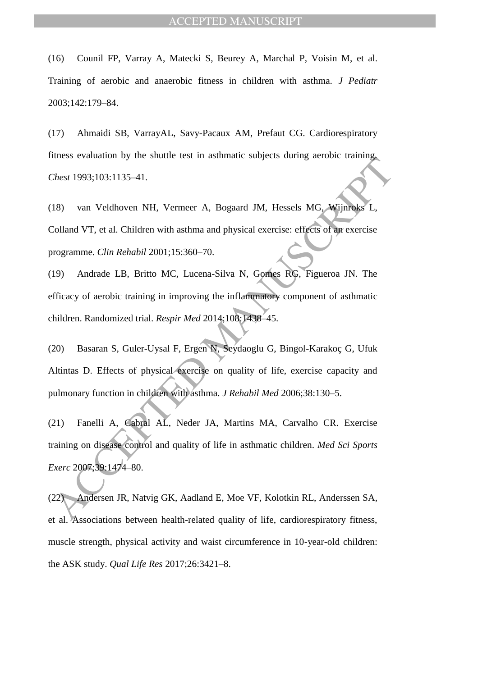(16) Counil FP, Varray A, Matecki S, Beurey A, Marchal P, Voisin M, et al. Training of aerobic and anaerobic fitness in children with asthma. *J Pediatr* 2003;142:179–84.

(17) Ahmaidi SB, VarrayAL, Savy-Pacaux AM, Prefaut CG. Cardiorespiratory fitness evaluation by the shuttle test in asthmatic subjects during aerobic training. *Chest* 1993;103:1135–41.

Thest 1993;103:1135-41.<br>
Thest 1993;103:1135-41.<br>
18) van Veldhoven NH, Vermeer A, Bogaard JM, Hessels MG, Wijnroks L,<br>
18) van Veldhoven NH, Vermeer A, Bogaard JM, Hessels MG, Wijnroks L,<br>
1910 Andrade LB, Britto MC, Luce (18) van Veldhoven NH, Vermeer A, Bogaard JM, Hessels MG, Wijnroks L, Colland VT, et al. Children with asthma and physical exercise: effects of an exercise programme. *Clin Rehabil* 2001;15:360–70.

(19) Andrade LB, Britto MC, Lucena-Silva N, Gomes RG, Figueroa JN. The efficacy of aerobic training in improving the inflammatory component of asthmatic children. Randomized trial. *Respir Med* 2014;108:1438–45.

(20) Basaran S, Guler-Uysal F, Ergen N, Seydaoglu G, Bingol-Karakoç G, Ufuk Altintas D. Effects of physical exercise on quality of life, exercise capacity and pulmonary function in children with asthma. *J Rehabil Med* 2006;38:130–5.

(21) Fanelli A, Cabral AL, Neder JA, Martins MA, Carvalho CR. Exercise training on disease control and quality of life in asthmatic children. *Med Sci Sports Exerc* 2007;39:1474–80.

(22) Andersen JR, Natvig GK, Aadland E, Moe VF, Kolotkin RL, Anderssen SA, et al. Associations between health-related quality of life, cardiorespiratory fitness, muscle strength, physical activity and waist circumference in 10-year-old children: the ASK study. *Qual Life Res* 2017;26:3421–8.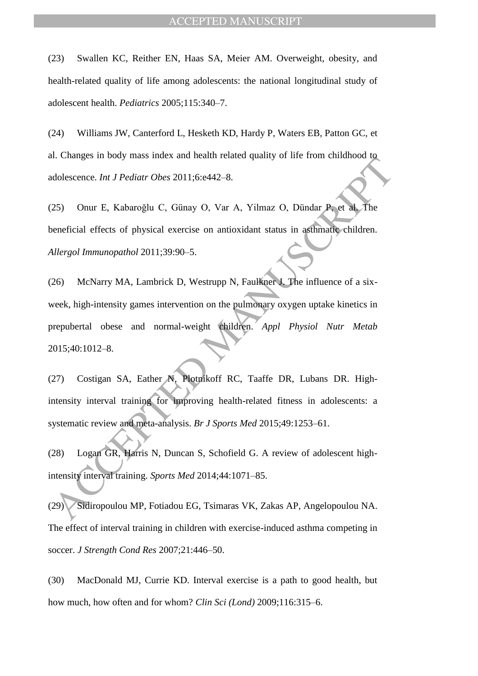(23) Swallen KC, Reither EN, Haas SA, Meier AM. Overweight, obesity, and health-related quality of life among adolescents: the national longitudinal study of adolescent health. *Pediatrics* 2005;115:340–7.

(24) Williams JW, Canterford L, Hesketh KD, Hardy P, Waters EB, Patton GC, et al. Changes in body mass index and health related quality of life from childhood to adolescence. *Int J Pediatr Obes* 2011;6:e442–8.

(25) Onur E, Kabaroğlu C, Günay O, Var A, Yilmaz O, Dündar P, et al. The beneficial effects of physical exercise on antioxidant status in asthmatic children. *Allergol Immunopathol* 2011;39:90–5.

ACCEPTED MANUSCRIPT THE SUPER THE SUPER THE SUPER THE SUPER THE SUPER THE SUPER THE SUPER THE SUPER THE SUPER THE SUPER THE SUPER THE SUPER THE SUPER THE SUPER THE SUPER THE SUPER THE SUPER THE SUPER THE SUPER THE SUPER TH (26) McNarry MA, Lambrick D, Westrupp N, Faulkner J. The influence of a sixweek, high-intensity games intervention on the pulmonary oxygen uptake kinetics in prepubertal obese and normal-weight children. *Appl Physiol Nutr Metab* 2015;40:1012–8.

(27) Costigan SA, Eather N, Plotnikoff RC, Taaffe DR, Lubans DR. Highintensity interval training for improving health-related fitness in adolescents: a systematic review and meta-analysis. *Br J Sports Med* 2015;49:1253–61.

(28) Logan GR, Harris N, Duncan S, Schofield G. A review of adolescent highintensity interval training. *Sports Med* 2014;44:1071–85.

(29) Sidiropoulou MP, Fotiadou EG, Tsimaras VK, Zakas AP, Angelopoulou NA. The effect of interval training in children with exercise-induced asthma competing in soccer. *J Strength Cond Res* 2007;21:446–50.

(30) MacDonald MJ, Currie KD. Interval exercise is a path to good health, but how much, how often and for whom? *Clin Sci (Lond)* 2009;116:315–6.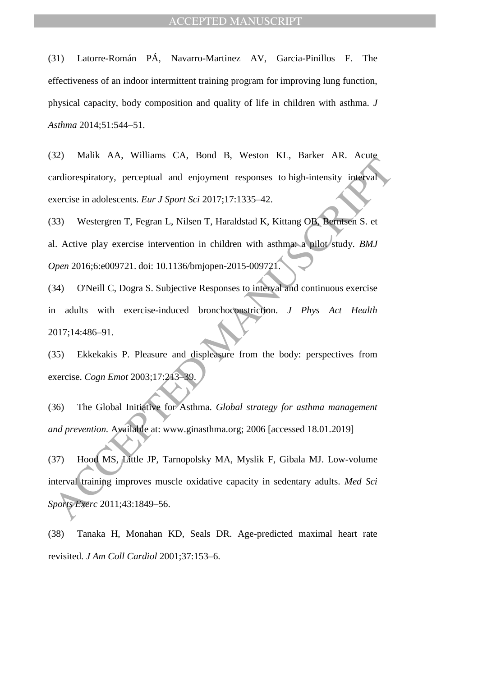(31) Latorre-Román PÁ, Navarro-Martinez AV, Garcia-Pinillos F. The effectiveness of an indoor intermittent training program for improving lung function, physical capacity, body composition and quality of life in children with asthma. *J Asthma* 2014;51:544–51.

(32) Malik AA, Williams CA, Bond B, Weston KL, Barker AR. Acute cardiorespiratory, perceptual and enjoyment responses to high-intensity interval exercise in adolescents. *Eur J Sport Sci* 2017;17:1335–42.

(33) Westergren T, Fegran L, Nilsen T, Haraldstad K, Kittang OB, Berntsen S. et al. Active play exercise intervention in children with asthma: a pilot study. *BMJ Open* 2016;6:e009721. doi: 10.1136/bmjopen-2015-009721.

(34) O'Neill C, Dogra S. Subjective Responses to interval and continuous exercise in adults with exercise-induced bronchoconstriction. *J Phys Act Health* 2017;14:486–91.

(35) Ekkekakis P. Pleasure and displeasure from the body: perspectives from exercise. *Cogn Emot* 2003;17:213–39.

(36) The Global Initiative for Asthma. *Global strategy for asthma management and prevention.* Available at: www.ginasthma.org; 2006 [accessed 18.01.2019]

Sextember 17.1, What is C.t., Bond D., Weston Tax, Bunch Tax, Then<br>ardiorespiratory, perceptual and enjoyment responses to high-intensity interval<br>vacrise in adolescents. *Eur J Sport Sci* 2017;17:1335-42.<br>33) Westergren (37) Hood MS, Little JP, Tarnopolsky MA, Myslik F, Gibala MJ. Low-volume interval training improves muscle oxidative capacity in sedentary adults. *Med Sci Sports Exerc* 2011;43:1849–56.

(38) Tanaka H, Monahan KD, Seals DR. Age-predicted maximal heart rate revisited. *J Am Coll Cardiol* 2001;37:153–6.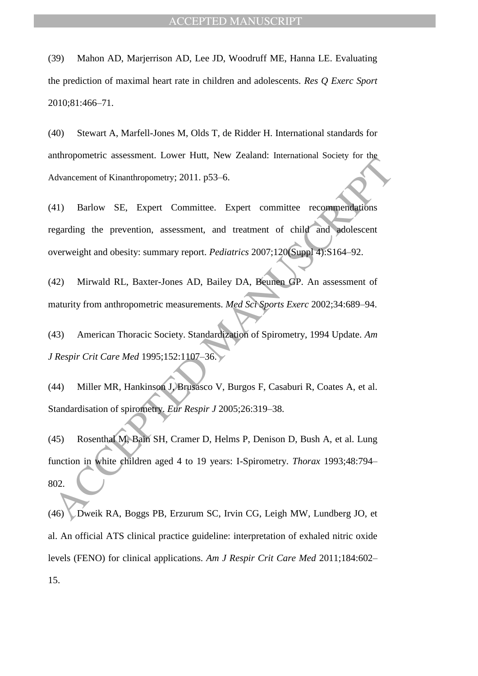(39) Mahon AD, Marjerrison AD, Lee JD, Woodruff ME, Hanna LE. Evaluating the prediction of maximal heart rate in children and adolescents. *Res Q Exerc Sport* 2010;81:466–71.

(40) Stewart A, Marfell-Jones M, Olds T, de Ridder H. International standards for anthropometric assessment. Lower Hutt, New Zealand: International Society for the Advancement of Kinanthropometry; 2011. p53–6.

(41) Barlow SE, Expert Committee. Expert committee recommendations regarding the prevention, assessment, and treatment of child and adolescent overweight and obesity: summary report. *Pediatrics* 2007;120(Suppl 4):S164–92.

(42) Mirwald RL, Baxter-Jones AD, Bailey DA, Beunen GP. An assessment of maturity from anthropometric measurements. *Med Sci Sports Exerc* 2002;34:689–94.

(43) American Thoracic Society. Standardization of Spirometry, 1994 Update. *Am J Respir Crit Care Med* 1995;152:1107–36.

(44) Miller MR, Hankinson J, Brusasco V, Burgos F, Casaburi R, Coates A, et al. Standardisation of spirometry. *Eur Respir J* 2005;26:319–38.

Manupolarical Execution: Exter-Indi, 1989 Entails: "International society for any<br>dyancement of Kinanthropometry; 2011, p53–6.<br>41) Barlow SE, Expert Committee. Expert committee recommendations<br>egarding the prevention, asse (45) Rosenthal M, Bain SH, Cramer D, Helms P, Denison D, Bush A, et al. Lung function in white children aged 4 to 19 years: I-Spirometry. *Thorax* 1993;48:794– 802.

(46) Dweik RA, Boggs PB, Erzurum SC, Irvin CG, Leigh MW, Lundberg JO, et al. An official ATS clinical practice guideline: interpretation of exhaled nitric oxide levels (FENO) for clinical applications. *Am J Respir Crit Care Med* 2011;184:602– 15.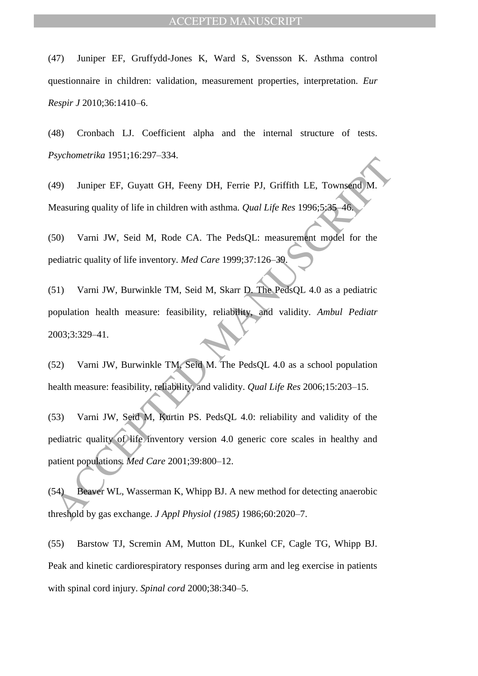(47) Juniper EF, Gruffydd-Jones K, Ward S, Svensson K. Asthma control questionnaire in children: validation, measurement properties, interpretation. *Eur Respir J* 2010;36:1410–6.

(48) Cronbach LJ. Coefficient alpha and the internal structure of tests. *Psychometrika* 1951;16:297–334.

(49) Juniper EF, Guyatt GH, Feeny DH, Ferrie PJ, Griffith LE, Townsend M. Measuring quality of life in children with asthma. *Qual Life Res* 1996;5:35–46.

(50) Varni JW, Seid M, Rode CA. The PedsQL: measurement model for the pediatric quality of life inventory. *Med Care* 1999;37:126–39.

Assumental 1994;10291 334.<br>
49) Juniper EF, Guyatt GH, Feeny DH, Ferrie PJ, Griffith LE, Townsend M.<br>
Measuring quality of life in children with asthma. *Qual Life Res* 1996;5;36–46.<br>
50) Varni JW, Seid M, Rode CA. The Ped (51) Varni JW, Burwinkle TM, Seid M, Skarr D. The PedsQL 4.0 as a pediatric population health measure: feasibility, reliability, and validity. *Ambul Pediatr* 2003;3:329–41.

(52) Varni JW, Burwinkle TM, Seid M. The PedsQL 4.0 as a school population health measure: feasibility, reliability, and validity. *Qual Life Res* 2006;15:203–15.

(53) Varni JW, Seid M, Kurtin PS. PedsQL 4.0: reliability and validity of the pediatric quality of life inventory version 4.0 generic core scales in healthy and patient populations. *Med Care* 2001;39:800–12.

(54) Beaver WL, Wasserman K, Whipp BJ. A new method for detecting anaerobic threshold by gas exchange. *J Appl Physiol (1985)* 1986;60:2020–7.

(55) Barstow TJ, Scremin AM, Mutton DL, Kunkel CF, Cagle TG, Whipp BJ. Peak and kinetic cardiorespiratory responses during arm and leg exercise in patients with spinal cord injury. *Spinal cord* 2000;38:340–5.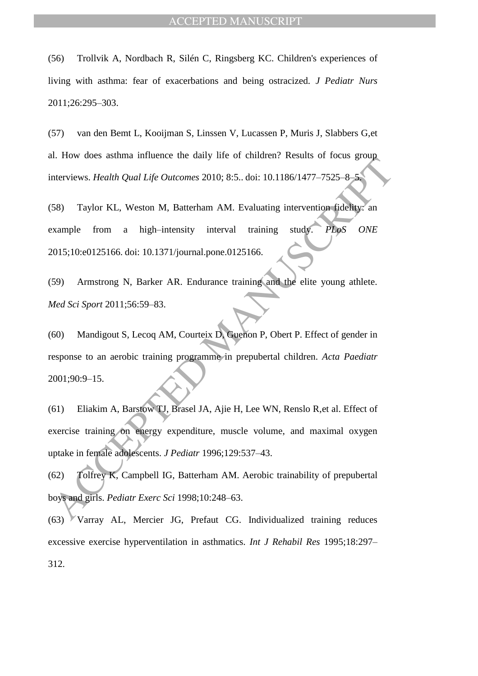(56) Trollvik A, Nordbach R, Silén C, Ringsberg KC. Children's experiences of living with asthma: fear of exacerbations and being ostracized. *J Pediatr Nurs* 2011;26:295–303.

(57) van den Bemt L, Kooijman S, Linssen V, Lucassen P, Muris J, Slabbers G,et al. How does asthma influence the daily life of children? Results of focus group interviews. *Health Qual Life Outcomes* 2010; 8:5.. doi: 10.1186/1477–7525–8–5.

(58) Taylor KL, Weston M, Batterham AM. Evaluating intervention fidelity: an example from a high–intensity interval training study. *PLoS ONE* 2015;10:e0125166. doi: 10.1371/journal.pone.0125166.

(59) Armstrong N, Barker AR. Endurance training and the elite young athlete. *Med Sci Sport* 2011;56:59–83.

According to the United Manuscript of Finderic Reality of the May and the Vietnam AM. Evaluating intervention fidelity: an example from a high-intensity interval training suddy. PLps ONE states are a single-intensity inter (60) Mandigout S, Lecoq AM, Courteix D, Guenon P, Obert P. Effect of gender in response to an aerobic training programme in prepubertal children. *Acta Paediatr* 2001;90:9–15.

(61) Eliakim A, Barstow TJ, Brasel JA, Ajie H, Lee WN, Renslo R,et al. Effect of exercise training on energy expenditure, muscle volume, and maximal oxygen uptake in female adolescents. *J Pediatr* 1996;129:537–43.

(62) Tolfrey K, Campbell IG, Batterham AM. Aerobic trainability of prepubertal boys and girls. *Pediatr Exerc Sci* 1998;10:248–63.

(63) Varray AL, Mercier JG, Prefaut CG. Individualized training reduces excessive exercise hyperventilation in asthmatics. *Int J Rehabil Res* 1995;18:297– 312.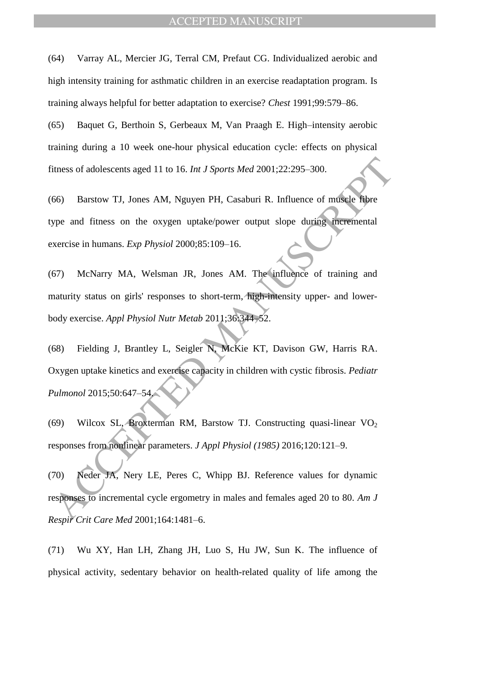(64) Varray AL, Mercier JG, Terral CM, Prefaut CG. Individualized aerobic and high intensity training for asthmatic children in an exercise readaptation program. Is training always helpful for better adaptation to exercise? *Chest* 1991;99:579–86.

(65) Baquet G, Berthoin S, Gerbeaux M, Van Praagh E. High–intensity aerobic training during a 10 week one-hour physical education cycle: effects on physical fitness of adolescents aged 11 to 16. *Int J Sports Med* 2001;22:295–300.

(66) Barstow TJ, Jones AM, Nguyen PH, Casaburi R. Influence of muscle fibre type and fitness on the oxygen uptake/power output slope during incremental exercise in humans. *Exp Physiol* 2000;85:109–16.

(67) McNarry MA, Welsman JR, Jones AM. The influence of training and maturity status on girls' responses to short-term, high-intensity upper- and lowerbody exercise. *Appl Physiol Nutr Metab* 2011;36:344–52.

itness of adolescents aged 11 to 16. *Int J Sports Med* 2001;22:295-300.<br>
66) Barstow TJ, Jones AM, Nguyen PH, Casaburi R. Influence of muscle Ripe<br>
979 and fitness on the oxygen uptake/power output slope during incrementa (68) Fielding J, Brantley L, Seigler N, McKie KT, Davison GW, Harris RA. Oxygen uptake kinetics and exercise capacity in children with cystic fibrosis. *Pediatr Pulmonol* 2015;50:647–54.

(69) Wilcox SL, Broxterman RM, Barstow TJ. Constructing quasi-linear  $VO<sub>2</sub>$ responses from nonlinear parameters. *J Appl Physiol (1985)* 2016;120:121–9.

(70) Neder JA, Nery LE, Peres C, Whipp BJ. Reference values for dynamic responses to incremental cycle ergometry in males and females aged 20 to 80. *Am J Respir Crit Care Med* 2001;164:1481–6.

(71) Wu XY, Han LH, Zhang JH, Luo S, Hu JW, Sun K. The influence of physical activity, sedentary behavior on health-related quality of life among the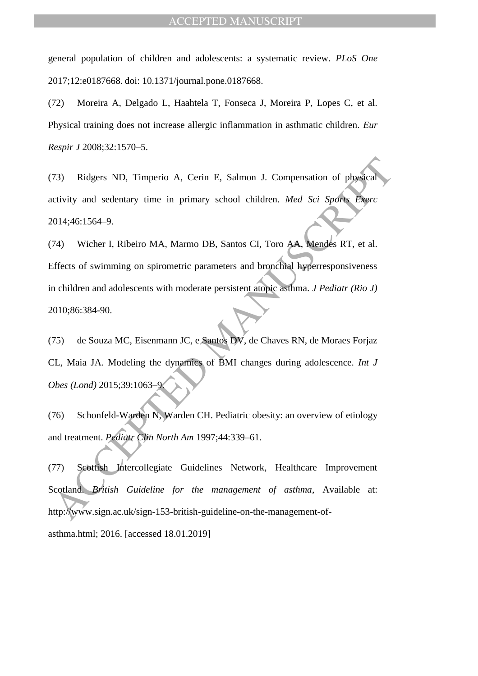general population of children and adolescents: a systematic review. *PLoS One* 2017;12:e0187668. doi: 10.1371/journal.pone.0187668.

(72) Moreira A, Delgado L, Haahtela T, Fonseca J, Moreira P, Lopes C, et al. Physical training does not increase allergic inflammation in asthmatic children. *Eur Respir J* 2008;32:1570–5.

(73) Ridgers ND, Timperio A, Cerin E, Salmon J. Compensation of physical activity and sedentary time in primary school children. *Med Sci Sports Exerc* 2014;46:1564–9.

73) Ridgers ND, Timperio A, Cerin E, Salmon J. Compensation of physical<br>
cityity and sedentary time in primary school children. *Med Sci Sports* Exerce<br>
1014;46:1564–9.<br>
2014;46:1564–9.<br>
2014;46:1564–9.<br>
2014;46:1564–9.<br> (74) Wicher I, Ribeiro MA, Marmo DB, Santos CI, Toro AA, Mendes RT, et al. Effects of swimming on spirometric parameters and bronchial hyperresponsiveness in children and adolescents with moderate persistent atopic asthma. *J Pediatr (Rio J)* 2010;86:384-90.

(75) de Souza MC, Eisenmann JC, e Santos DV, de Chaves RN, de Moraes Forjaz CL, Maia JA. Modeling the dynamics of BMI changes during adolescence. *Int J Obes (Lond)* 2015;39:1063–9.

(76) Schonfeld-Warden N, Warden CH. Pediatric obesity: an overview of etiology and treatment. *Pediatr Clin North Am* 1997;44:339–61.

(77) Scottish Intercollegiate Guidelines Network, Healthcare Improvement Scotland. *British Guideline for the management of asthma*, Available at: http://www.sign.ac.uk/sign-153-british-guideline-on-the-management-ofasthma.html; 2016. [accessed 18.01.2019]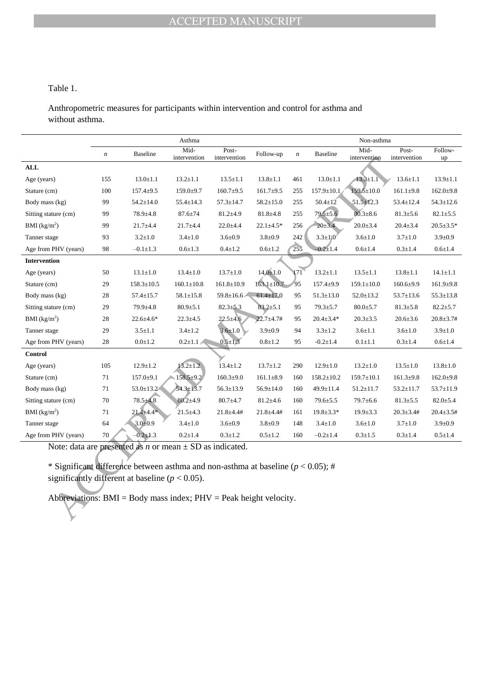## Table 1.

Anthropometric measures for participants within intervention and control for asthma and without asthma.

|                                                                                                                                             |                                                                                      |                  | Asthma           |                  | Non-asthma       |            |                  |                      |                       |                 |  |  |
|---------------------------------------------------------------------------------------------------------------------------------------------|--------------------------------------------------------------------------------------|------------------|------------------|------------------|------------------|------------|------------------|----------------------|-----------------------|-----------------|--|--|
|                                                                                                                                             | Mid-<br>Post-<br><b>Baseline</b><br>$\boldsymbol{n}$<br>intervention<br>intervention |                  |                  |                  | Follow-up        | n          | <b>Baseline</b>  | Mid-<br>intervention | Post-<br>intervention | Follow-<br>up   |  |  |
| ALL                                                                                                                                         |                                                                                      |                  |                  |                  |                  |            |                  |                      |                       |                 |  |  |
| Age (years)                                                                                                                                 | 155                                                                                  | $13.0 \pm 1.1$   | $13.2 \pm 1.1$   | $13.5 \pm 1.1$   | $13.8 \pm 1.1$   | 461        | $13.0 \pm 1.1$   | $13.3 \pm 1.1$       | $13.6 \pm 1.1$        | $13.9 \pm 1.1$  |  |  |
| Stature (cm)                                                                                                                                | 100                                                                                  | $157.4 \pm 9.5$  | $159.0 \pm 9.7$  | $160.7 \pm 9.5$  | $161.7 \pm 9.5$  | 255        | $157.9 \pm 10.1$ | $159.5 \pm 10.0$     | $161.1 \pm 9.8$       | $162.0{\pm}9.8$ |  |  |
| Body mass (kg)                                                                                                                              | 99                                                                                   | $54.2 \pm 14.0$  | $55.4 \pm 14.3$  | $57.3 \pm 14.7$  | $58.2 \pm 15.0$  | 255        | $50.4 \pm 12$    | $51.5 \pm 12.3$      | $53.4 \pm 12.4$       | $54.3 \pm 12.6$ |  |  |
| Sitting stature (cm)                                                                                                                        | 99                                                                                   | $78.9 + 4.8$     | $87.6 \pm 74$    | $81.2 \pm 4.9$   | $81.8 + 4.8$     | 255        | $79.5 \pm 5.6$   | $80.3 \pm 8.6$       | $81.3 \pm 5.6$        | $82.1 \pm 5.5$  |  |  |
| BMI $(kg/m2)$                                                                                                                               | 99                                                                                   | $21.7 + 4.4$     | $21.7 + 4.4$     | $22.0 \pm 4.4$   | $22.1 \pm 4.5*$  | 256        | $20 \pm 3.4$     | $20.0 + 3.4$         | $20.4 \pm 3.4$        | $20.5 \pm 3.5*$ |  |  |
| Tanner stage                                                                                                                                | 93                                                                                   | $3.2 \pm 1.0$    | $3.4 \pm 1.0$    | $3.6 \pm 0.9$    | $3.8 \pm 0.9$    | 242        | $3.3 \pm 1/0$    | $3.6 \pm 1.0$        | $3.7 \pm 1.0$         | $3.9 \pm 0.9$   |  |  |
| Age from PHV (years)                                                                                                                        | 98                                                                                   | $-0.1 \pm 1.3$   | $0.6 + 1.3$      | $0.4 \pm 1.2$    | $0.6{\pm}1.2$    | 255        | $-0.2 + 1.4$     | $0.6 + 1.4$          | $0.3 + 1.4$           | $0.6{\pm}1.4$   |  |  |
| <b>Intervention</b>                                                                                                                         |                                                                                      |                  |                  |                  |                  |            |                  |                      |                       |                 |  |  |
| Age (years)                                                                                                                                 | 50                                                                                   | $13.1 \pm 1.0$   | $13.4 \pm 1.0$   | $13.7 \pm 1.0$   | $14,0{\pm}1.0$   | $\sqrt{1}$ | $13.2 \pm 1.1$   | $13.5 \pm 1.1$       | $13.8 \pm 1.1$        | $14.1 \pm 1.1$  |  |  |
| Stature (cm)                                                                                                                                | 29                                                                                   | $158.3 \pm 10.5$ | $160.1 \pm 10.8$ | $161.8 \pm 10.9$ | $163.1 \pm 10.7$ | 95         | $157.4 \pm 9.9$  | $159.1 \pm 10.0$     | $160.6{\pm}9.9$       | $161.9 + 9.8$   |  |  |
| Body mass (kg)                                                                                                                              | 28                                                                                   | $57.4 \pm 15.7$  | $58.1 \pm 15.8$  | $59.8 \pm 16.6$  | $61.4 \pm 17.0$  | 95         | $51.3 \pm 13.0$  | $52.0 \pm 13.2$      | $53.7 \pm 13.6$       | $55.3 \pm 13.8$ |  |  |
| Sitting stature (cm)                                                                                                                        | 29                                                                                   | 79.9±4.8         | $80.9{\pm}5.1$   | $82.3 \pm 5.3$   | $83.2 + 5.1$     | 95         | $79.3 \pm 5.7$   | $80.0{\pm}5.7$       | $81.3 \pm 5.8$        | $82.2 \pm 5.7$  |  |  |
| BMI $(kg/m2)$                                                                                                                               | 28                                                                                   | 22.6±4.6*        | $22.3 \pm 4.5$   | $22.5 \pm 4.6$   | $22.7 + 4.7 +$   | 95         | $20.4 \pm 3.4*$  | $20.3 \pm 3.5$       | $20.6 \pm 3.6$        | $20.8 + 3.7#$   |  |  |
| Tanner stage                                                                                                                                | 29                                                                                   | $3.5 \pm 1.1$    | $3.4 \pm 1.2$    | $3.6 \pm 1.0$    | $3.9 \pm 0.9$    | 94         | $3.3 \pm 1.2$    | $3.6 \pm 1.1$        | $3.6 \pm 1.0$         | $3.9 \pm 1.0$   |  |  |
| Age from PHV (years)                                                                                                                        | 28                                                                                   | $0.0 \pm 1.2$    | $0.2 \pm 1.1$    | $0.5 \pm 1.3$    | $0.8 + 1.2$      | 95         | $-0.2 \pm 1.4$   | $0.1 \pm 1.1$        | $0.3 \pm 1.4$         | $0.6 \pm 1.4$   |  |  |
| <b>Control</b>                                                                                                                              |                                                                                      |                  |                  |                  |                  |            |                  |                      |                       |                 |  |  |
| Age (years)                                                                                                                                 | 105                                                                                  | $12.9 \pm 1.2$   | $13.2 \pm 1.2$   | $13.4 \pm 1.2$   | $13.7 \pm 1.2$   | 290        | $12.9 \pm 1.0$   | $13.2 \pm 1.0$       | $13.5 \pm 1.0$        | $13.8 \pm 1.0$  |  |  |
| Stature (cm)                                                                                                                                | 71                                                                                   | $157.0 \pm 9.1$  | $158.5 \pm 9.2$  | $160.3{\pm}9.0$  | $161.1 \pm 8.9$  | 160        | $158.2 \pm 10.2$ | $159.7 \pm 10.1$     | $161.3 \pm 9.8$       | $162.0{\pm}9.8$ |  |  |
| Body mass (kg)                                                                                                                              | 71                                                                                   | $53.0 \pm 13.2$  | $54.3 \pm 13.7$  | $56.3 \pm 13.9$  | $56.9 \pm 14.0$  | 160        | 49.9±11.4        | $51.2 \pm 11.7$      | $53.2 \pm 11.7$       | 53.7±11.9       |  |  |
| Sitting stature (cm)                                                                                                                        | 70                                                                                   | $78.5 \pm 4.8$   | $80.2 + 4.9$     | $80.7 \pm 4.7$   | $81.2 + 4.6$     | 160        | $79.6 \pm 5.5$   | 79.7±6.6             | $81.3 \pm 5.5$        | $82.0 \pm 5.4$  |  |  |
| BMI $(kg/m2)$                                                                                                                               | 71                                                                                   | $21.4 + 4.4*$    | $21.5 + 4.3$     | $21.8 + 4.4#$    | $21.8 + 4.4#$    | 161        | $19.8 \pm 3.3*$  | $19.9 \pm 3.3$       | $20.3 \pm 3.4 \#$     | $20.4 \pm 3.5#$ |  |  |
| Tanner stage                                                                                                                                | 64                                                                                   | $3.0 + 0.9$      | $3.4 \pm 1.0$    | $3.6 \pm 0.9$    | $3.8 \pm 0.9$    | 148        | $3.4 \pm 1.0$    | $3.6 \pm 1.0$        | $3.7 \pm 1.0$         | $3.9 \pm 0.9$   |  |  |
| Age from PHV (years)                                                                                                                        | 70                                                                                   | $-0.2 \pm 1.3$   | $0.2 + 1.4$      | $0.3 \pm 1.2$    | $0.5 \pm 1.2$    | 160        | $-0.2 \pm 1.4$   | $0.3 \pm 1.5$        | $0.3 \pm 1.4$         | $0.5 \pm 1.4$   |  |  |
| Note: data are presented as <i>n</i> or mean $\pm$ SD as indicated.                                                                         |                                                                                      |                  |                  |                  |                  |            |                  |                      |                       |                 |  |  |
|                                                                                                                                             |                                                                                      |                  |                  |                  |                  |            |                  |                      |                       |                 |  |  |
| * Significant difference between asthma and non-asthma at baseline ( $p < 0.05$ ); #<br>significantly different at baseline ( $p < 0.05$ ). |                                                                                      |                  |                  |                  |                  |            |                  |                      |                       |                 |  |  |
|                                                                                                                                             |                                                                                      |                  |                  |                  |                  |            |                  |                      |                       |                 |  |  |
| Abbreviations: $BMI = Body$ mass index; $PHV = Peak$ height velocity.                                                                       |                                                                                      |                  |                  |                  |                  |            |                  |                      |                       |                 |  |  |
|                                                                                                                                             |                                                                                      |                  |                  |                  |                  |            |                  |                      |                       |                 |  |  |
|                                                                                                                                             |                                                                                      |                  |                  |                  |                  |            |                  |                      |                       |                 |  |  |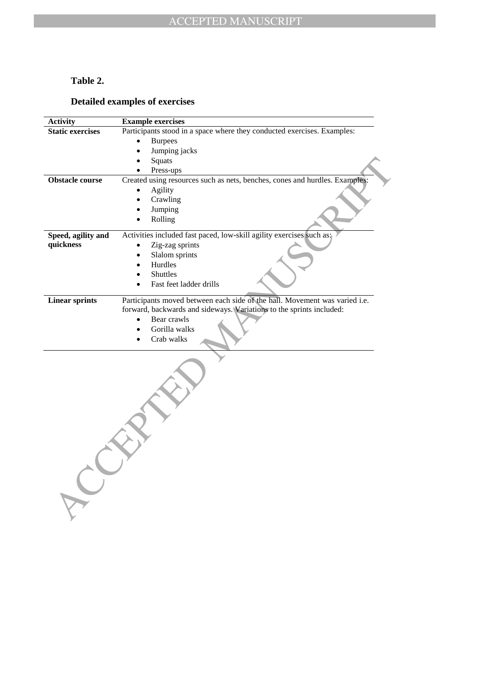## **Table 2.**

## **Detailed examples of exercises**

| <b>Activity</b>         | <b>Example exercises</b>                                                                                                                                                                                      |
|-------------------------|---------------------------------------------------------------------------------------------------------------------------------------------------------------------------------------------------------------|
| <b>Static exercises</b> | Participants stood in a space where they conducted exercises. Examples:                                                                                                                                       |
|                         | <b>Burpees</b>                                                                                                                                                                                                |
|                         | Jumping jacks                                                                                                                                                                                                 |
|                         | Squats                                                                                                                                                                                                        |
|                         | Press-ups                                                                                                                                                                                                     |
| <b>Obstacle course</b>  | Created using resources such as nets, benches, cones and hurdles. Examples:                                                                                                                                   |
|                         | Agility                                                                                                                                                                                                       |
|                         | Crawling<br>$\bullet$                                                                                                                                                                                         |
|                         | Jumping                                                                                                                                                                                                       |
|                         | Rolling                                                                                                                                                                                                       |
| Speed, agility and      | Activities included fast paced, low-skill agility exercises such as:                                                                                                                                          |
| quickness               | Zig-zag sprints                                                                                                                                                                                               |
|                         | Slalom sprints                                                                                                                                                                                                |
|                         | Hurdles                                                                                                                                                                                                       |
|                         | Shuttles                                                                                                                                                                                                      |
|                         | Fast feet ladder drills                                                                                                                                                                                       |
| <b>Linear sprints</b>   | Participants moved between each side of the hall. Movement was varied i.e.<br>forward, backwards and sideways. Variations to the sprints included:<br>Bear crawls<br>$\bullet$<br>Gorilla walks<br>Crab walks |
|                         |                                                                                                                                                                                                               |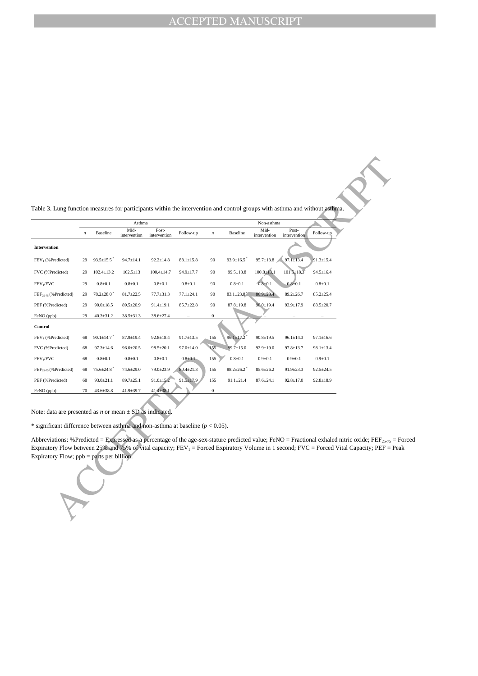|                                                                                                                                                                                                                                                                                                                                                 |                  |                  | Asthma               |                       |                 |                  |                 | Non-asthma           |                       |                 |
|-------------------------------------------------------------------------------------------------------------------------------------------------------------------------------------------------------------------------------------------------------------------------------------------------------------------------------------------------|------------------|------------------|----------------------|-----------------------|-----------------|------------------|-----------------|----------------------|-----------------------|-----------------|
|                                                                                                                                                                                                                                                                                                                                                 | $\boldsymbol{n}$ | Baseline         | Mid-<br>intervention | Post-<br>intervention | Follow-up       | $\boldsymbol{n}$ | Baseline        | Mid-<br>intervention | Post-<br>intervention | Follow-up       |
| Intervention                                                                                                                                                                                                                                                                                                                                    |                  |                  |                      |                       |                 |                  |                 |                      |                       |                 |
| FEV <sub>1</sub> (%Predicted)                                                                                                                                                                                                                                                                                                                   | 29               | $93.5 \pm 15.5$  | $94.7 \pm 14.1$      | $92.2 \pm 14.8$       | $88.1 \pm 15.8$ | 90               | $93.9 \pm 16.5$ | $95.7 \pm 13.8$      | $97.1 \pm 13.4$       | $91.3 \pm 15.4$ |
| FVC (%Predicted)                                                                                                                                                                                                                                                                                                                                | 29               | $102.4 \pm 13.2$ | $102.5 \pm 13$       | $100.4 \pm 14.7$      | 94.9±17.7       | 90               | $99.5 \pm 13.8$ | $100.8 + 13.1$       | $101.5 \pm 18.3$      | $94.5 \pm 16.4$ |
| FEV <sub>1</sub> /FVC                                                                                                                                                                                                                                                                                                                           | 29               | $0.8 + 0.1$      | $0.8 + 0.1$          | $0.8 + 0.1$           | $0.8 + 0.1$     | 90               | $0.8 + 0.1$     | $0.8 \pm 0.1$        | $0.8 + 0.1$           | $0.8 + 0.1$     |
| FEF <sub>25-75</sub> (%Predicted)                                                                                                                                                                                                                                                                                                               | 29               | $78.2 \pm 28.0$  | $81.7 \pm 22.5$      | $77.7 \pm 31.3$       | $77.1 \pm 24.1$ | 90               | $83.1 \pm 23.8$ | $86.9 \pm 23.4$      | $89.2 \pm 26.7$       | $85.2 + 25.4$   |
| PEF (%Predicted)                                                                                                                                                                                                                                                                                                                                | 29               | $90.0 \pm 18.5$  | 89.5±20.9            | $91.4 \pm 19.1$       | $85.7 \pm 22.8$ | 90               | $87.8 \pm 19.8$ | $90.0 \pm 19.4$      | 93.9±17.9             | $88.5 \pm 20.7$ |
| FeNO (ppb)                                                                                                                                                                                                                                                                                                                                      | 29               | $40.3 \pm 31.2$  | $38.5 \pm 31.3$      | 38.6±27.4             |                 | $\bf{0}$         |                 |                      |                       |                 |
| Control                                                                                                                                                                                                                                                                                                                                         |                  |                  |                      |                       |                 |                  |                 |                      |                       |                 |
| FEV <sub>1</sub> (%Predicted)                                                                                                                                                                                                                                                                                                                   | 68               | $90.1 \pm 14.7$  | $87.9 \pm 19.4$      | $92.8 \pm 18.4$       | $91.7 \pm 13.5$ | 155              | $96.1 \pm 17.2$ | $90.8 \pm 19.5$      | $96.1 \pm 14.3$       | $97.1 \pm 16.6$ |
| FVC (%Predicted)                                                                                                                                                                                                                                                                                                                                | 68               | $97.3 \pm 14.6$  | $96.0 \pm 20.5$      | $98.5 \pm 20.1$       | $97.0 \pm 14.0$ | 155              | $99.7 \pm 15.0$ | $92.9 \pm 19.0$      | $97.8 \pm 13.7$       | $98.1 \pm 13.4$ |
| FEV <sub>1</sub> /FVC                                                                                                                                                                                                                                                                                                                           | 68               | $0.8 + 0.1$      | $0.8 + 0.1$          | $0.8 + 0.1$           | $0.8 + 0.1$     | 155              | $0.8 + 0.1$     | $0.9 + 0.1$          | $0.9 + 0.1$           | $0.9 + 0.1$     |
| FEF <sub>25-75</sub> (%Predicted)                                                                                                                                                                                                                                                                                                               | 68               | $75.6 \pm 24.8$  | 74.6±29.0            | 79.0±23.9             | $80.4 \pm 21.3$ | 155              | $88.2 \pm 26.2$ | 85.6±26.2            | $91.9 \pm 23.3$       | $92.5 \pm 24.5$ |
| PEF (%Predicted)                                                                                                                                                                                                                                                                                                                                | 68               | $93.0 \pm 21.1$  | 89.7±25.1            | $91.0 \pm 15.2$       | $91.5 \pm 17.9$ | 155              | $91.1 \pm 21.4$ | $87.6 \pm 24.1$      | $92.8 \pm 17.0$       | $92.8 \pm 18.9$ |
| FeNO (ppb)                                                                                                                                                                                                                                                                                                                                      | 70               | $43.6 \pm 38.8$  | $41.9 \pm 39.7$      | $41.4 \pm 38.1$       |                 | $\boldsymbol{0}$ |                 |                      |                       |                 |
| Note: data are presented as <i>n</i> or mean $\pm$ SD as indicated.<br>* significant difference between asthma and non-asthma at baseline ( $p < 0.05$ ).                                                                                                                                                                                       |                  |                  |                      |                       |                 |                  |                 |                      |                       |                 |
| Abbreviations: % Predicted = Expressed as a percentage of the age-sex-stature predicted value; FeNO = Fractional exhaled nitric oxide; FEF25.75 =<br>Expiratory Flow between 25% and 75% of vital capacity; $FEV_1$ = Forced Expiratory Volume in 1 second; FVC = Forced Vital Capacity; PEF = F<br>Expiratory Flow; $ppb =$ parts per billion. |                  |                  |                      |                       |                 |                  |                 |                      |                       |                 |

Abbreviations: %Predicted = Expressed as a percentage of the age-sex-stature predicted value; FeNO = Fractional exhaled nitric oxide; FEF $_{25.75}$  = Forced Expiratory Flow between 25% and 75% of vital capacity;  $FEV_1 =$  Forced Expiratory Volume in 1 second; FVC = Forced Vital Capacity;  $PEF =$  Peak Expiratory Flow; ppb = parts per billion.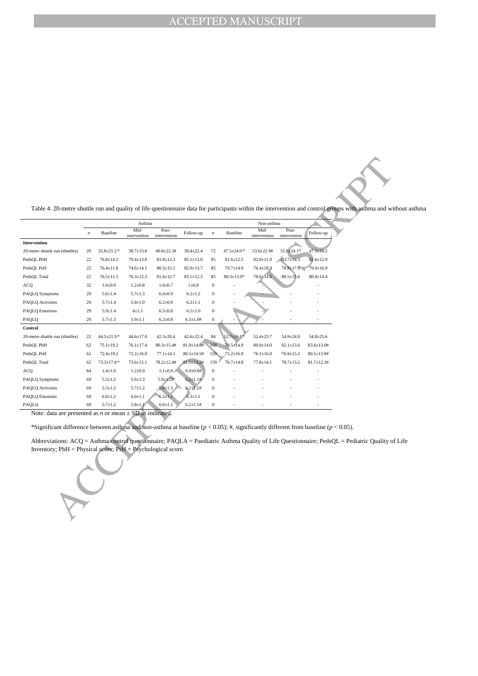Table 4. 20-metre shuttle run and quality of life questionnaire data for participants within the intervention and control groups with asthma and without asthma

|                                                                                                                                                                                                                                                                                                                                                                | Asthma           |                   |                      |                       |                    |                  |                   | Non-asthma           |                       |                   |
|----------------------------------------------------------------------------------------------------------------------------------------------------------------------------------------------------------------------------------------------------------------------------------------------------------------------------------------------------------------|------------------|-------------------|----------------------|-----------------------|--------------------|------------------|-------------------|----------------------|-----------------------|-------------------|
|                                                                                                                                                                                                                                                                                                                                                                | $\boldsymbol{n}$ | Baseline          | Mid-<br>intervention | Post-<br>intervention | Follow-up          | $\boldsymbol{n}$ | <b>Baseline</b>   | Mid-<br>intervention | Post-<br>intervention | Follow-up         |
| <b>Intervention</b>                                                                                                                                                                                                                                                                                                                                            |                  |                   |                      |                       |                    |                  |                   |                      |                       |                   |
| 20-metre shuttle run (shuttles)                                                                                                                                                                                                                                                                                                                                | 20               | 35.8±21.2*        | $38.7 \pm 15.8$      | $40.8 \pm 22.3#$      | 39.4±22.4          | 72               | $47.5 \pm 24.0$ * | 53.6±22.9#           | $51.8 + 24.1*$        | $47.5 \pm 24.2$   |
| PedsQL PhH                                                                                                                                                                                                                                                                                                                                                     | 22               | $76.8 \pm 14.3$   | $79.4 \pm 13.8$      | $83.8 \pm 12.3$       | $85.1 \pm 13.0$    | 85               | $81.6 \pm 12.5$   | $82.9 \pm 11.9$      | $83.7 \pm 14.3$       | 82.6±12.9         |
| PedsQL PsH                                                                                                                                                                                                                                                                                                                                                     | 22               | $76.4 \pm 11.8$   | $74.6 \pm 14.1$      | $80.5 \pm 15.1$       | $82.0 \pm 13.7$    | 85               | 79.7±14.9         | $76.4 \pm 18.3$      | $78.8 \pm 17.9$       | 79.0±16.9         |
| PedsQL Total                                                                                                                                                                                                                                                                                                                                                   | 22               | $76.5 \pm 11.5$   | $76.3 \pm 12.3$      | $81.6 \pm 12.7$       | $83.1 \pm 12.3$    | 85               | $80.3 \pm 13.0*$  | $78.6 \pm 14.6$      | $80.5 \pm 15.6$       | $80.4 \pm 14.4$   |
| ACQ                                                                                                                                                                                                                                                                                                                                                            | 32               | $1.0 + 0.9$       | $1.2 \pm 0.8$        | $1.0 + 0.7$           | $1\pm0.8$          | $\boldsymbol{0}$ |                   |                      |                       |                   |
| PAQLQ Symptoms                                                                                                                                                                                                                                                                                                                                                 | 29               | $5.6 \pm 1.4$     | $5.7 \pm 1.3$        | $6.0 + 0.9$           | $6.2 + 1.2$        | $\boldsymbol{0}$ |                   |                      |                       |                   |
| PAQLQ Activities                                                                                                                                                                                                                                                                                                                                               | 29               | $5.7 + 1.4$       | $5.9 + 1.0$          | $6.2 + 0.9$           | $6.2 + 1.1$        | $\boldsymbol{0}$ |                   |                      |                       |                   |
| PAQLQ Emotions                                                                                                                                                                                                                                                                                                                                                 | 29               | $5.9 + 1.4$       | $6 + 1.1$            | $6.5 + 0.8$           | $6.5 \pm 1.0$      | $\boldsymbol{0}$ |                   |                      |                       |                   |
| PAQLQ                                                                                                                                                                                                                                                                                                                                                          | 29               | $5.7 \pm 1.3$     | $5.9 \pm 1.1$        | $6.2 \pm 0.8$         | $6.3 \pm 1.04$     | $\boldsymbol{0}$ |                   |                      |                       | ٠                 |
| Control                                                                                                                                                                                                                                                                                                                                                        |                  |                   |                      |                       |                    |                  |                   |                      |                       |                   |
| 20-metre shuttle run (shuttles)                                                                                                                                                                                                                                                                                                                                | 22               | 44.5±21.9*        | $44.6 \pm 17.0$      | $42.3 \pm 20.4$       | $42.6 \pm 22.4$    | 84               | $52.7 \pm 26.0^*$ | $52.4 \pm 23.7$      | 54.9±24.0             | $54.8 \pm 25.6$   |
| PedsQL PhH                                                                                                                                                                                                                                                                                                                                                     | 62               | $75.1 \pm 19.2$   | $76.1 \pm 17.4$      | $80.3 \pm 15.4$ #     | $81.9 \pm 14.8 \#$ | 159              | 79.5±14.9         | $80.9 \pm 14.0$      | $82.1 \pm 13.6$       | 83.6±13.0#        |
| PedsQL PsH                                                                                                                                                                                                                                                                                                                                                     | 62               | $72.4 \pm 19.2$   | $72.2 \pm 16.0$      | $77.1 \pm 14.3$       | $80.5 \pm 14.5#$   | 159              | $75.2 \pm 16.9$   | $76.1 \pm 16.0$      | $76.9 \pm 15.2$       | $80.5 \pm 13.9$ # |
| PedsQL Total                                                                                                                                                                                                                                                                                                                                                   | 62               | $73.3 \pm 17.8$ * | $73.6 \pm 15.1$      | $78.2 \pm 12.4$ #     | $81.0 \pm 13.2$ #  | 159              | $76.7 \pm 14.8$   | $77.8 \pm 14.1$      | $78.7 \pm 13.2$       | $81.7 \pm 12.3$ # |
| ACQ                                                                                                                                                                                                                                                                                                                                                            | 84               | $1.4 + 1.0$       | $1.2 + 0.9$          | $1.1 \pm 0.9$         | $0.9 + 0.8 +$      | $\boldsymbol{0}$ |                   |                      |                       |                   |
| PAQLQ Symptoms                                                                                                                                                                                                                                                                                                                                                 | 69               | $5.5 \pm 1.2$     | $5.6 \pm 1.3$        | $5.9 + 1.2#$          | $6.2 \pm 1.1 \#$   | $\boldsymbol{0}$ |                   |                      |                       |                   |
| PAQLQ Activities                                                                                                                                                                                                                                                                                                                                               | 69               | $5.5 + 1.2$       | $5.7 + 1.2$          | $5.8 \pm 1.3$         | $6.2 \pm 1.2$ #    | $\boldsymbol{0}$ |                   |                      |                       |                   |
| PAQLQ Emotions                                                                                                                                                                                                                                                                                                                                                 | 69               | $6.0 \pm 1.2$     | $6.0 + 1.1$          | $6.2 \pm 1.1$         | $6.3 \pm 1.1$      | $\boldsymbol{0}$ |                   |                      |                       |                   |
| PAQLQ                                                                                                                                                                                                                                                                                                                                                          | 69               | $5.7 + 1.2$       | $5.8 + 1.1$          | $6.0 \pm 1.1$         | $6.2 \pm 1.1$ #    | $\boldsymbol{0}$ |                   |                      |                       |                   |
| Note: data are presented as <i>n</i> or mean $\pm$ SD as indicated.<br>*Significant difference between asthma and non-asthma at baseline ( $p < 0.05$ ); #, significantly different from baseline ( $p < 0.05$ ).<br>Abbreviations: ACQ = Asthma control questionnaire; PAQLA = Paediatric Asthma Quality of Life Questionnaire; PedsQL = Pediatric Quality of |                  |                   |                      |                       |                    |                  |                   |                      |                       |                   |
| Inventory; PhH = Physical score; PsH = Psychological score.                                                                                                                                                                                                                                                                                                    |                  |                   |                      |                       |                    |                  |                   |                      |                       |                   |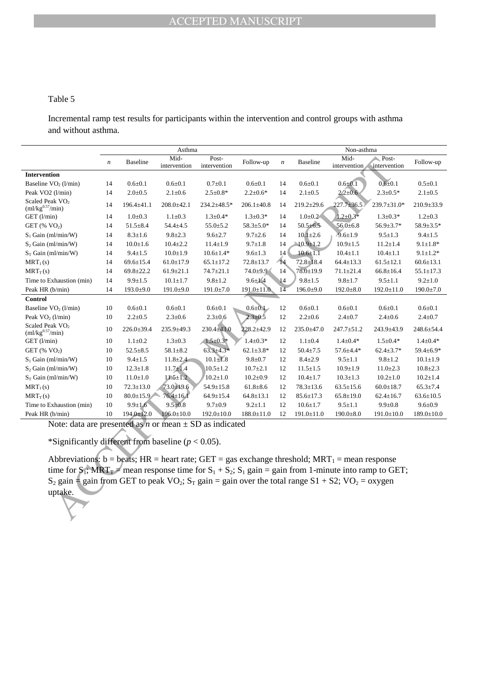## Table 5

Incremental ramp test results for participants within the intervention and control groups with asthma and without asthma.

|                                                                                                                                                                  |                  |                  | Asthma               |                       |                  |                                                                                      | Non-asthma       |                  |                  |                  |  |  |  |
|------------------------------------------------------------------------------------------------------------------------------------------------------------------|------------------|------------------|----------------------|-----------------------|------------------|--------------------------------------------------------------------------------------|------------------|------------------|------------------|------------------|--|--|--|
|                                                                                                                                                                  | $\boldsymbol{n}$ | <b>Baseline</b>  | Mid-<br>intervention | Post-<br>intervention | Follow-up        | Mid-<br>Post-<br><b>Baseline</b><br>$\boldsymbol{n}$<br>intervention<br>intervention |                  |                  |                  | Follow-up        |  |  |  |
| Intervention                                                                                                                                                     |                  |                  |                      |                       |                  |                                                                                      |                  |                  |                  |                  |  |  |  |
| Baseline $VO2$ (l/min)                                                                                                                                           | 14               | $0.6 + 0.1$      | $0.6 + 0.1$          | $0.7 + 0.1$           | $0.6 + 0.1$      | 14                                                                                   | $0.6 + 0.1$      | $0.6 + 0.1$      | $0.6 + 0.1$      | $0.5 \pm 0.1$    |  |  |  |
| Peak VO <sub>2</sub> (1/min)                                                                                                                                     | 14               | $2.0 \pm 0.5$    | $2.1 \pm 0.6$        | $2.5 \pm 0.8*$        | $2.2 \pm 0.6*$   | 14                                                                                   | $2.1 \pm 0.5$    | $2.2 \pm 0.6$    | $2.3 \pm 0.5*$   | $2.1 \pm 0.5$    |  |  |  |
| Scaled Peak VO <sub>2</sub><br>$(m1/kg^{0.57}/min)$                                                                                                              | 14               | 196.4±41.1       | $208.0 \pm 42.1$     | 234.2±48.5*           | $206.1 \pm 40.8$ | 14                                                                                   | $219.2 \pm 29.6$ | $227.7 + 36.5$   | 239.7±31.0*      | $210.9 \pm 33.9$ |  |  |  |
| $GET$ ( $l/min$ )                                                                                                                                                | 14               | $1.0 + 0.3$      | $1.1 \pm 0.3$        | $1.3 \pm 0.4*$        | $1.3 \pm 0.3*$   | 14                                                                                   | $1.0 + 0.2$      | $1.2 \pm 0.3*$   | $1.3 \pm 0.3*$   | $1.2 \pm 0.3$    |  |  |  |
| GET $(\% \text{ VO}_2)$                                                                                                                                          | 14               | $51.5 \pm 8.4$   | $54.4 + 4.5$         | $55.0 \pm 5.2$        | $58.3 \pm 5.0*$  | 14                                                                                   | $50.5 \pm 6.5$   | $56.0{\pm}6.8$   | 56.9±3.7*        | 58.9±3.5*        |  |  |  |
| $S_1$ Gain (ml/min/W)                                                                                                                                            | 14               | $8.3 \pm 1.6$    | $9.8 \pm 2.3$        | $9.6 \pm 2.7$         | $9.7 \pm 2.6$    | 14                                                                                   | $10.1 \pm 2.6$   | $9.6 \pm 1.9$    | $9.5 \pm 1.3$    | $9.4 \pm 1.5$    |  |  |  |
| $S_2$ Gain (ml/min/W)                                                                                                                                            | 14               | $10.0 \pm 1.6$   | $10.4 \pm 2.2$       | $11.4 \pm 1.9$        | $9.7 \pm 1.8$    | 14                                                                                   | $10.9 \pm 1.2$   | $10.9 \pm 1.5$   | $11.2 \pm 1.4$   | $9.1 \pm 1.8*$   |  |  |  |
| $S_T$ Gain (ml/min/W)                                                                                                                                            | 14               | $9.4 \pm 1.5$    | $10.0 \pm 1.9$       | $10.6 \pm 1.4*$       | $9.6 \pm 1.3$    | 14                                                                                   | $10.6 \pm 1.1$   | $10.4 \pm 1.1$   | $10.4 \pm 1.1$   | $9.1 \pm 1.2*$   |  |  |  |
| $MRT_1(s)$                                                                                                                                                       | 14               | $69.6 \pm 15.4$  | $61.0 \pm 17.9$      | $65.1 \pm 17.2$       | $72.8 \pm 13.7$  | $-14$                                                                                | $72.8 \pm 18.4$  | $64.4 \pm 13.3$  | $61.5 \pm 12.1$  | $60.6 \pm 13.1$  |  |  |  |
| $MRT_T(s)$                                                                                                                                                       | 14               | $69.8 \pm 22.2$  | $61.9 \pm 21.1$      | $74.7 \pm 21.1$       | $74.0 \pm 9.9$   | 14                                                                                   | $78.0 \pm 19.9$  | $71.1 \pm 21.4$  | $66.8 \pm 16.4$  | $55.1 \pm 17.3$  |  |  |  |
| Time to Exhaustion (min)                                                                                                                                         | 14               | $9.9 \pm 1.5$    | $10.1 \pm 1.7$       | $9.8 \pm 1.2$         | $9.6 \pm 1.4$    | 14                                                                                   | $9.8 \pm 1.5$    | $9.8 + 1.7$      | $9.5 \pm 1.1$    | $9.2 \pm 1.0$    |  |  |  |
| Peak HR (b/min)                                                                                                                                                  | 14               | $193.0{\pm}9.0$  | $191.0{\pm}9.0$      | $191.0 \pm 7.0$       | $191.0 \pm 11.0$ | $\overline{14}$                                                                      | $196.0{\pm}9.0$  | $192.0 \pm 8.0$  | $192.0 \pm 11.0$ | $190.0 \pm 7.0$  |  |  |  |
| Control                                                                                                                                                          |                  |                  |                      |                       |                  |                                                                                      |                  |                  |                  |                  |  |  |  |
| Baseline $VO2$ (l/min)                                                                                                                                           | 10               | $0.6 + 0.1$      | $0.6 + 0.1$          | $0.6 + 0.1$           | $0.6 \pm 0.1$    | 12                                                                                   | $0.6 + 0.1$      | $0.6 + 0.1$      | $0.6 + 0.1$      | $0.6 + 0.1$      |  |  |  |
| Peak $VO2$ (l/min)                                                                                                                                               | 10               | $2.2 \pm 0.5$    | $2.3 \pm 0.6$        | $2.3 \pm 0.6$         | $2.3 \pm 0.5$    | 12                                                                                   | $2.2 \pm 0.6$    | $2.4 \pm 0.7$    | $2.4 \pm 0.6$    | $2.4 \pm 0.7$    |  |  |  |
| Scaled Peak VO <sub>2</sub><br>$(m1/kg^{0.57}/min)$                                                                                                              | 10               | $226.0 \pm 39.4$ | $235.9 \pm 49.3$     | $230.4 \pm 43.0$      | $228.2 + 42.9$   | 12                                                                                   | $235.0 \pm 47.0$ | $247.7 \pm 51.2$ | $243.9 \pm 43.9$ | $248.6 \pm 54.4$ |  |  |  |
| GET (l/min)                                                                                                                                                      | 10               | $1.1 \pm 0.2$    | $1.3 \pm 0.3$        | $1.5 \pm 0.3*$        | $1.4 \pm 0.3*$   | 12                                                                                   | $1.1 \pm 0.4$    | $1.4 \pm 0.4*$   | $1.5 \pm 0.4*$   | $1.4 \pm 0.4*$   |  |  |  |
| GET $(\% \ VO_{2})$                                                                                                                                              | 10               | $52.5 \pm 8.5$   | $58.1 \pm 8.2$       | $63.3 + 4.3*$         | $62.1 \pm 3.8*$  | $12\,$                                                                               | $50.4 \pm 7.5$   | 57.6±4.4*        | $62.4 \pm 3.7*$  | 59.4±6.9*        |  |  |  |
| $S_1$ Gain (ml/min/W)                                                                                                                                            | 10               | $9.4 \pm 1.5$    | $11.8 \pm 2.4$       | $10.1 \pm 1.8$        | $9.8 \pm 0.7$    | 12                                                                                   | $8.4 \pm 2.9$    | $9.5 \pm 1.1$    | $9.8 \pm 1.2$    | $10.1 \pm 1.9$   |  |  |  |
| $S_2$ Gain (ml/min/W)                                                                                                                                            | 10               | $12.3 \pm 1.8$   | $11.7 \pm 1.4$       | $10.5 \pm 1.2$        | $10.7 \pm 2.1$   | 12                                                                                   | $11.5 \pm 1.5$   | $10.9 \pm 1.9$   | $11.0 \pm 2.3$   | $10.8 \pm 2.3$   |  |  |  |
| $S_T$ Gain (ml/min/W)                                                                                                                                            | 10               | $11.0 \pm 1.0$   | $11.5 \pm 1.2$       | $10.2 \pm 1.0$        | $10.2 \pm 0.9$   | 12                                                                                   | $10.4 \pm 1.7$   | $10.3 \pm 1.3$   | $10.2 \pm 1.0$   | $10.2 \pm 1.4$   |  |  |  |
| $MRT_1(s)$                                                                                                                                                       | 10               | $72.3 \pm 13.0$  | $73.0 \pm 19.6$      | $54.9 \pm 15.8$       | $61.8 \pm 8.6$   | 12                                                                                   | $78.3 \pm 13.6$  | $63.5 \pm 15.6$  | $60.0 \pm 18.7$  | $65.3 \pm 7.4$   |  |  |  |
| $MRT_T(s)$                                                                                                                                                       | 10               | $80.0 \pm 15.9$  | $76.4 \pm 16.1$      | $64.9 \pm 15.4$       | $64.8 \pm 13.1$  | 12                                                                                   | $85.6 \pm 17.3$  | $65.8 \pm 19.0$  | $62.4 \pm 16.7$  | $63.6 \pm 10.5$  |  |  |  |
| Time to Exhaustion (min)                                                                                                                                         | 10               | $9.9 \pm 1.6$    | $9.5 \pm 0.8$        | $9.7 \pm 0.9$         | $9.2 \pm 1.1$    | 12                                                                                   | $10.6 \pm 1.7$   | $9.5 \pm 1.1$    | $9.9 \pm 0.8$    | $9.6 + 0.9$      |  |  |  |
| Peak HR (b/min)                                                                                                                                                  | 10               | $194.0 \pm 12.0$ | $196.0 \pm 10.0$     | $192.0 \pm 10.0$      | $188.0 \pm 11.0$ | 12                                                                                   | $191.0 \pm 11.0$ | $190.0 \pm 8.0$  | $191.0 \pm 10.0$ | $189.0 \pm 10.0$ |  |  |  |
| Note: data are presented as <i>n</i> or mean $\pm$ SD as indicated                                                                                               |                  |                  |                      |                       |                  |                                                                                      |                  |                  |                  |                  |  |  |  |
| *Significantly different from baseline ( $p < 0.05$ ).                                                                                                           |                  |                  |                      |                       |                  |                                                                                      |                  |                  |                  |                  |  |  |  |
| Abbreviations: b = beats; HR = heart rate; GET = gas exchange threshold; MRT <sub>1</sub> = mean response                                                        |                  |                  |                      |                       |                  |                                                                                      |                  |                  |                  |                  |  |  |  |
| time for S <sub>1</sub> ; MRT <sub>T</sub> = mean response time for S <sub>1</sub> + S <sub>2</sub> ; S <sub>1</sub> gain = gain from 1-minute into ramp to GET; |                  |                  |                      |                       |                  |                                                                                      |                  |                  |                  |                  |  |  |  |
| $S_2$ gain $\equiv$ gain from GET to peak VO <sub>2</sub> ; $S_T$ gain = gain over the total range S1 + S2; VO <sub>2</sub> = oxygen                             |                  |                  |                      |                       |                  |                                                                                      |                  |                  |                  |                  |  |  |  |
| uptake.                                                                                                                                                          |                  |                  |                      |                       |                  |                                                                                      |                  |                  |                  |                  |  |  |  |
|                                                                                                                                                                  |                  |                  |                      |                       |                  |                                                                                      |                  |                  |                  |                  |  |  |  |